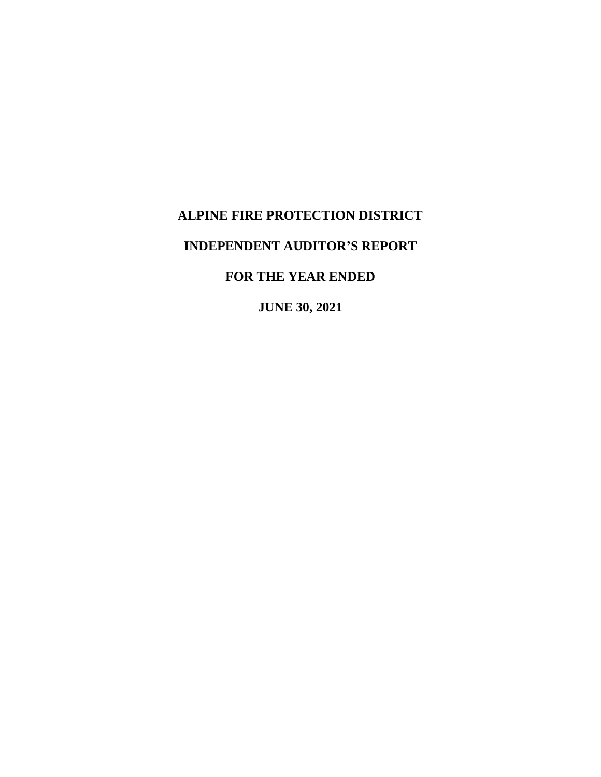# **ALPINE FIRE PROTECTION DISTRICT**

# **INDEPENDENT AUDITOR'S REPORT**

# **FOR THE YEAR ENDED**

**JUNE 30, 2021**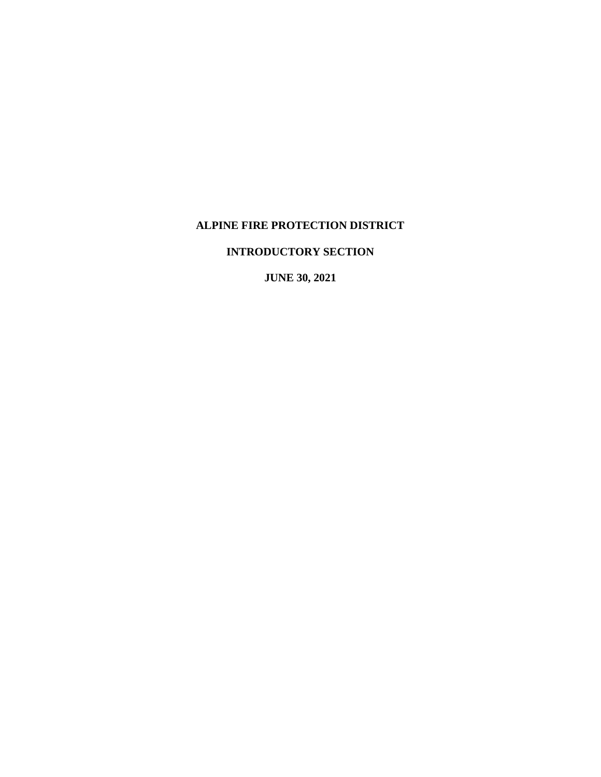# **ALPINE FIRE PROTECTION DISTRICT**

**INTRODUCTORY SECTION**

**JUNE 30, 2021**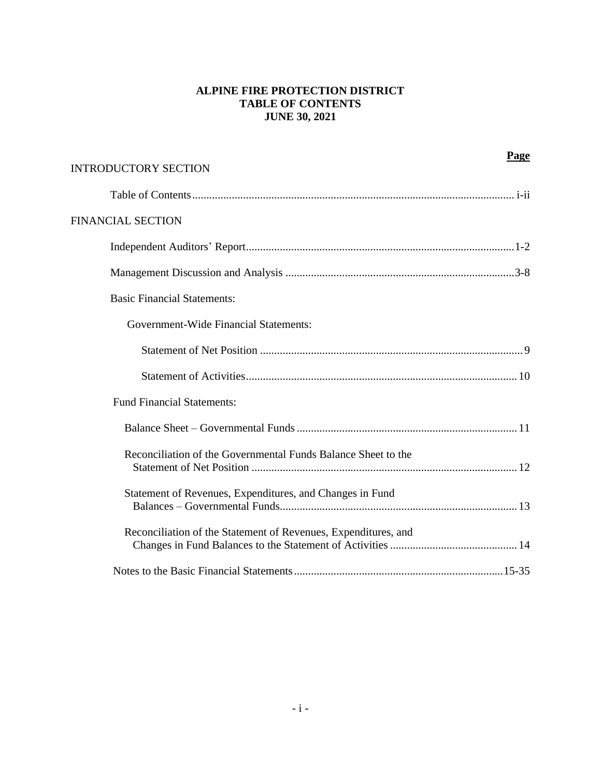# **ALPINE FIRE PROTECTION DISTRICT TABLE OF CONTENTS JUNE 30, 2021**

| <b>INTRODUCTORY SECTION</b>                                    | Page |
|----------------------------------------------------------------|------|
|                                                                |      |
| <b>FINANCIAL SECTION</b>                                       |      |
|                                                                |      |
|                                                                |      |
| <b>Basic Financial Statements:</b>                             |      |
| Government-Wide Financial Statements:                          |      |
|                                                                |      |
|                                                                |      |
| <b>Fund Financial Statements:</b>                              |      |
|                                                                |      |
| Reconciliation of the Governmental Funds Balance Sheet to the  |      |
| Statement of Revenues, Expenditures, and Changes in Fund       |      |
| Reconciliation of the Statement of Revenues, Expenditures, and |      |
|                                                                |      |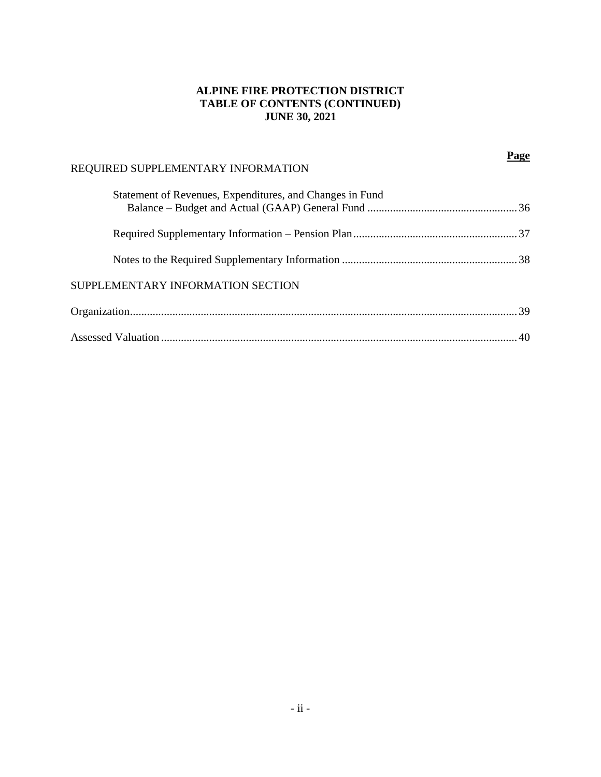# **ALPINE FIRE PROTECTION DISTRICT TABLE OF CONTENTS (CONTINUED) JUNE 30, 2021**

**Page**

# REQUIRED SUPPLEMENTARY INFORMATION Statement of Revenues, Expenditures, and Changes in Fund Balance – Budget and Actual (GAAP) General Fund .....................................................36 Required Supplementary Information – Pension Plan.......................................................... 37 Notes to the Required Supplementary Information .............................................................. 38 SUPPLEMENTARY INFORMATION SECTION Organization......................................................................................................................................... 39 Assessed Valuation .............................................................................................................................. 40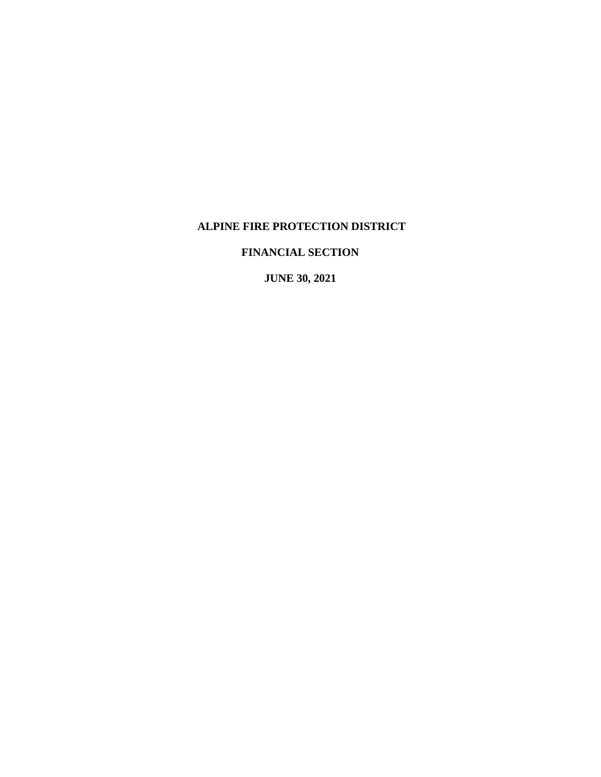# **ALPINE FIRE PROTECTION DISTRICT**

# **FINANCIAL SECTION**

**JUNE 30, 2021**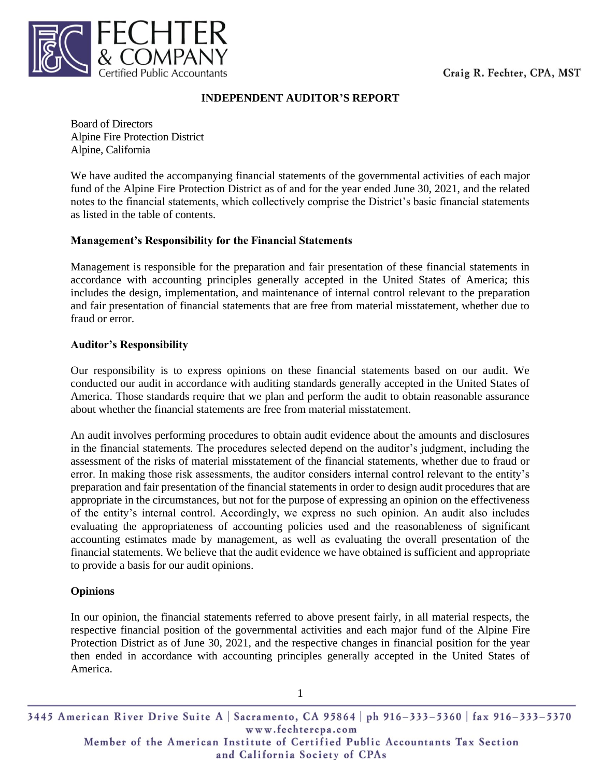

# **INDEPENDENT AUDITOR'S REPORT**

Board of Directors Alpine Fire Protection District Alpine, California

We have audited the accompanying financial statements of the governmental activities of each major fund of the Alpine Fire Protection District as of and for the year ended June 30, 2021, and the related notes to the financial statements, which collectively comprise the District's basic financial statements as listed in the table of contents.

# **Management's Responsibility for the Financial Statements**

Management is responsible for the preparation and fair presentation of these financial statements in accordance with accounting principles generally accepted in the United States of America; this includes the design, implementation, and maintenance of internal control relevant to the preparation and fair presentation of financial statements that are free from material misstatement, whether due to fraud or error.

# **Auditor's Responsibility**

Our responsibility is to express opinions on these financial statements based on our audit. We conducted our audit in accordance with auditing standards generally accepted in the United States of America. Those standards require that we plan and perform the audit to obtain reasonable assurance about whether the financial statements are free from material misstatement.

An audit involves performing procedures to obtain audit evidence about the amounts and disclosures in the financial statements. The procedures selected depend on the auditor's judgment, including the assessment of the risks of material misstatement of the financial statements, whether due to fraud or error. In making those risk assessments, the auditor considers internal control relevant to the entity's preparation and fair presentation of the financial statements in order to design audit procedures that are appropriate in the circumstances, but not for the purpose of expressing an opinion on the effectiveness of the entity's internal control. Accordingly, we express no such opinion. An audit also includes evaluating the appropriateness of accounting policies used and the reasonableness of significant accounting estimates made by management, as well as evaluating the overall presentation of the financial statements. We believe that the audit evidence we have obtained is sufficient and appropriate to provide a basis for our audit opinions.

# **Opinions**

In our opinion, the financial statements referred to above present fairly, in all material respects, the respective financial position of the governmental activities and each major fund of the Alpine Fire Protection District as of June 30, 2021, and the respective changes in financial position for the year then ended in accordance with accounting principles generally accepted in the United States of America.

3445 American River Drive Suite A | Sacramento, CA 95864 | ph 916-333-5360 | fax 916-333-5370 www.fechtercpa.com Member of the American Institute of Certified Public Accountants Tax Section and California Society of CPAs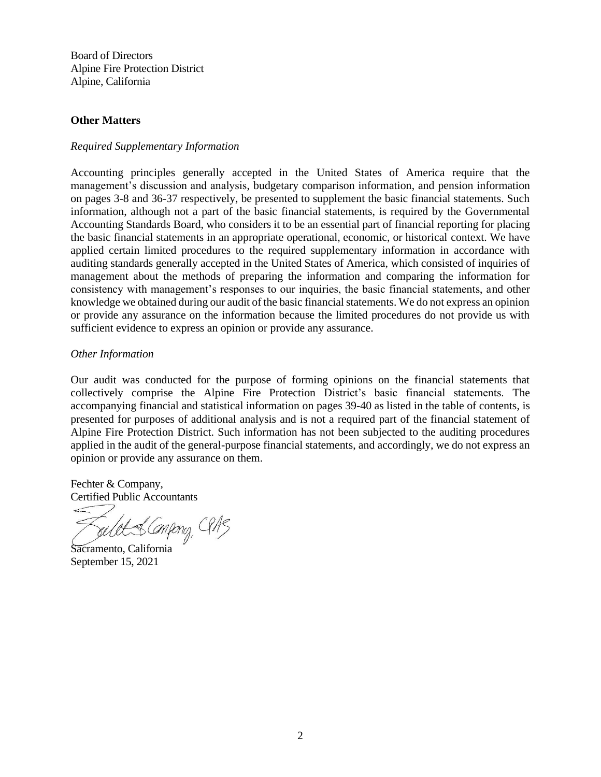Board of Directors Alpine Fire Protection District Alpine, California

#### **Other Matters**

### *Required Supplementary Information*

Accounting principles generally accepted in the United States of America require that the management's discussion and analysis, budgetary comparison information, and pension information on pages 3-8 and 36-37 respectively, be presented to supplement the basic financial statements. Such information, although not a part of the basic financial statements, is required by the Governmental Accounting Standards Board, who considers it to be an essential part of financial reporting for placing the basic financial statements in an appropriate operational, economic, or historical context. We have applied certain limited procedures to the required supplementary information in accordance with auditing standards generally accepted in the United States of America, which consisted of inquiries of management about the methods of preparing the information and comparing the information for consistency with management's responses to our inquiries, the basic financial statements, and other knowledge we obtained during our audit of the basic financial statements. We do not express an opinion or provide any assurance on the information because the limited procedures do not provide us with sufficient evidence to express an opinion or provide any assurance.

#### *Other Information*

Our audit was conducted for the purpose of forming opinions on the financial statements that collectively comprise the Alpine Fire Protection District's basic financial statements. The accompanying financial and statistical information on pages 39-40 as listed in the table of contents, is presented for purposes of additional analysis and is not a required part of the financial statement of Alpine Fire Protection District. Such information has not been subjected to the auditing procedures applied in the audit of the general-purpose financial statements, and accordingly, we do not express an opinion or provide any assurance on them.

Fechter & Company, Certified Public Accountants

selet & Compruy, CR13

Sacramento, California September 15, 2021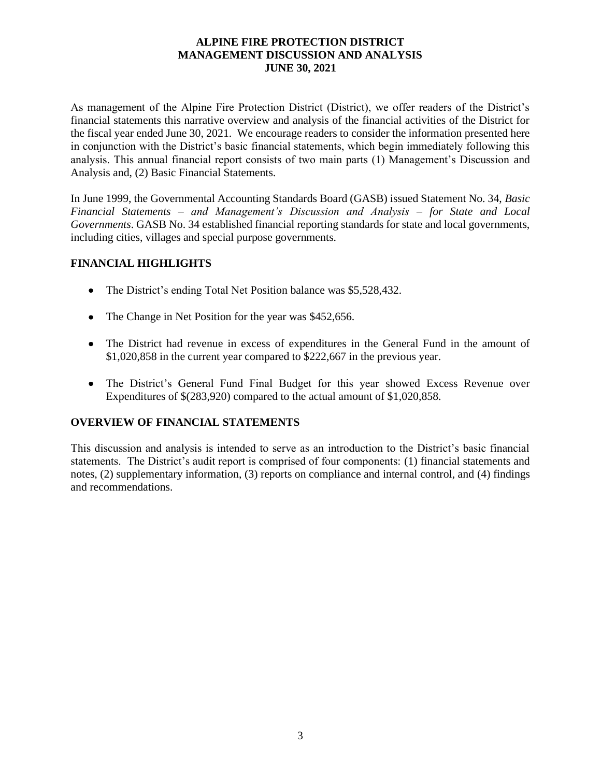As management of the Alpine Fire Protection District (District), we offer readers of the District's financial statements this narrative overview and analysis of the financial activities of the District for the fiscal year ended June 30, 2021. We encourage readers to consider the information presented here in conjunction with the District's basic financial statements, which begin immediately following this analysis. This annual financial report consists of two main parts (1) Management's Discussion and Analysis and, (2) Basic Financial Statements.

In June 1999, the Governmental Accounting Standards Board (GASB) issued Statement No. 34, *Basic Financial Statements – and Management's Discussion and Analysis – for State and Local Governments*. GASB No. 34 established financial reporting standards for state and local governments, including cities, villages and special purpose governments.

# **FINANCIAL HIGHLIGHTS**

- The District's ending Total Net Position balance was \$5,528,432.
- The Change in Net Position for the year was \$452,656.
- The District had revenue in excess of expenditures in the General Fund in the amount of \$1,020,858 in the current year compared to \$222,667 in the previous year.
- The District's General Fund Final Budget for this year showed Excess Revenue over Expenditures of \$(283,920) compared to the actual amount of \$1,020,858.

# **OVERVIEW OF FINANCIAL STATEMENTS**

This discussion and analysis is intended to serve as an introduction to the District's basic financial statements. The District's audit report is comprised of four components: (1) financial statements and notes, (2) supplementary information, (3) reports on compliance and internal control, and (4) findings and recommendations.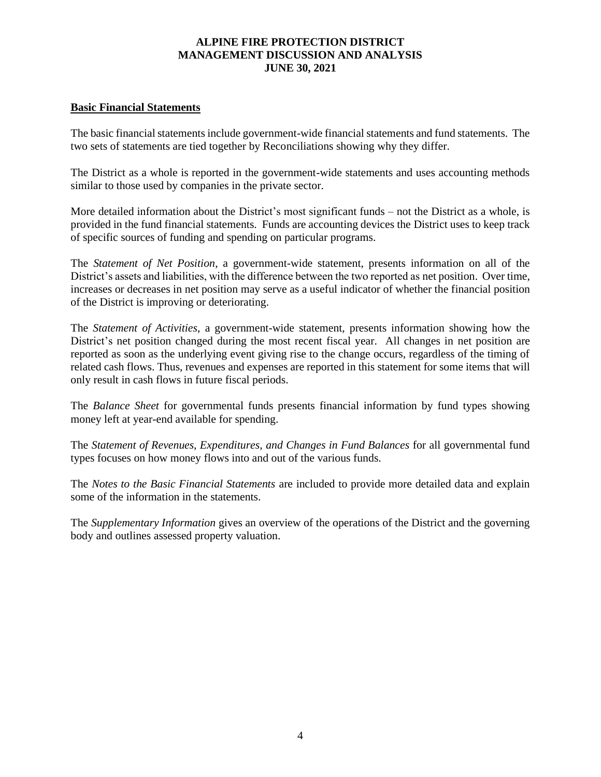### **Basic Financial Statements**

The basic financial statements include government-wide financial statements and fund statements. The two sets of statements are tied together by Reconciliations showing why they differ.

The District as a whole is reported in the government-wide statements and uses accounting methods similar to those used by companies in the private sector.

More detailed information about the District's most significant funds – not the District as a whole, is provided in the fund financial statements. Funds are accounting devices the District uses to keep track of specific sources of funding and spending on particular programs.

The *Statement of Net Position*, a government-wide statement, presents information on all of the District's assets and liabilities, with the difference between the two reported as net position. Over time, increases or decreases in net position may serve as a useful indicator of whether the financial position of the District is improving or deteriorating.

The *Statement of Activities*, a government-wide statement, presents information showing how the District's net position changed during the most recent fiscal year. All changes in net position are reported as soon as the underlying event giving rise to the change occurs, regardless of the timing of related cash flows. Thus, revenues and expenses are reported in this statement for some items that will only result in cash flows in future fiscal periods.

The *Balance Sheet* for governmental funds presents financial information by fund types showing money left at year-end available for spending.

The *Statement of Revenues, Expenditures, and Changes in Fund Balances* for all governmental fund types focuses on how money flows into and out of the various funds.

The *Notes to the Basic Financial Statements* are included to provide more detailed data and explain some of the information in the statements.

The *Supplementary Information* gives an overview of the operations of the District and the governing body and outlines assessed property valuation.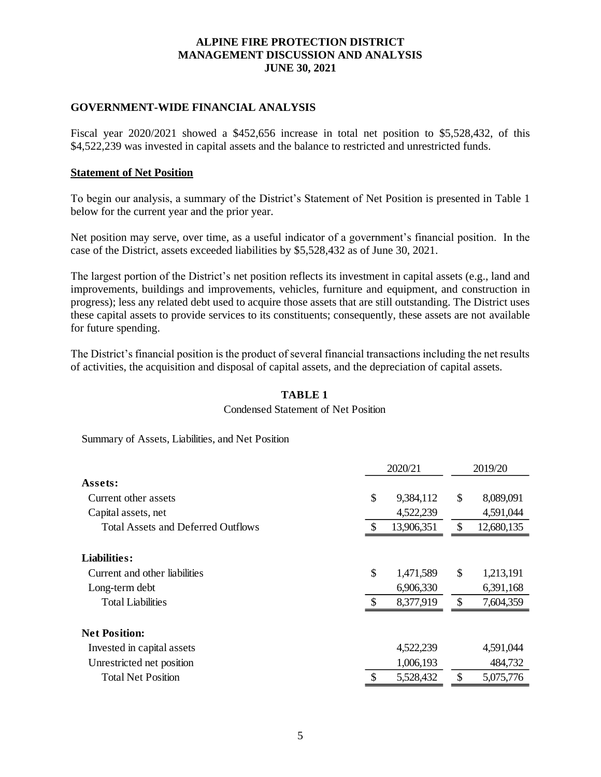# **GOVERNMENT-WIDE FINANCIAL ANALYSIS**

Fiscal year 2020/2021 showed a \$452,656 increase in total net position to \$5,528,432, of this \$4,522,239 was invested in capital assets and the balance to restricted and unrestricted funds.

#### **Statement of Net Position**

To begin our analysis, a summary of the District's Statement of Net Position is presented in Table 1 below for the current year and the prior year.

Net position may serve, over time, as a useful indicator of a government's financial position. In the case of the District, assets exceeded liabilities by \$5,528,432 as of June 30, 2021.

The largest portion of the District's net position reflects its investment in capital assets (e.g., land and improvements, buildings and improvements, vehicles, furniture and equipment, and construction in progress); less any related debt used to acquire those assets that are still outstanding. The District uses these capital assets to provide services to its constituents; consequently, these assets are not available for future spending.

The District's financial position is the product of several financial transactions including the net results of activities, the acquisition and disposal of capital assets, and the depreciation of capital assets.

#### **TABLE 1**

#### Condensed Statement of Net Position

Summary of Assets, Liabilities, and Net Position

|                                           | 2020/21 |            |    | 2019/20    |  |  |
|-------------------------------------------|---------|------------|----|------------|--|--|
| Assets:                                   |         |            |    |            |  |  |
| Current other assets                      | \$      | 9,384,112  | \$ | 8,089,091  |  |  |
| Capital assets, net                       |         | 4,522,239  |    | 4,591,044  |  |  |
| <b>Total Assets and Deferred Outflows</b> |         | 13,906,351 |    | 12,680,135 |  |  |
| Liabilities:                              |         |            |    |            |  |  |
| Current and other liabilities             | \$      | 1,471,589  | \$ | 1,213,191  |  |  |
| Long-term debt                            |         | 6,906,330  |    | 6,391,168  |  |  |
| <b>Total Liabilities</b>                  | S       | 8,377,919  | \$ | 7,604,359  |  |  |
| <b>Net Position:</b>                      |         |            |    |            |  |  |
| Invested in capital assets                |         | 4,522,239  |    | 4,591,044  |  |  |
| Unrestricted net position                 |         | 1,006,193  |    | 484,732    |  |  |
| <b>Total Net Position</b>                 |         | 5,528,432  |    | 5,075,776  |  |  |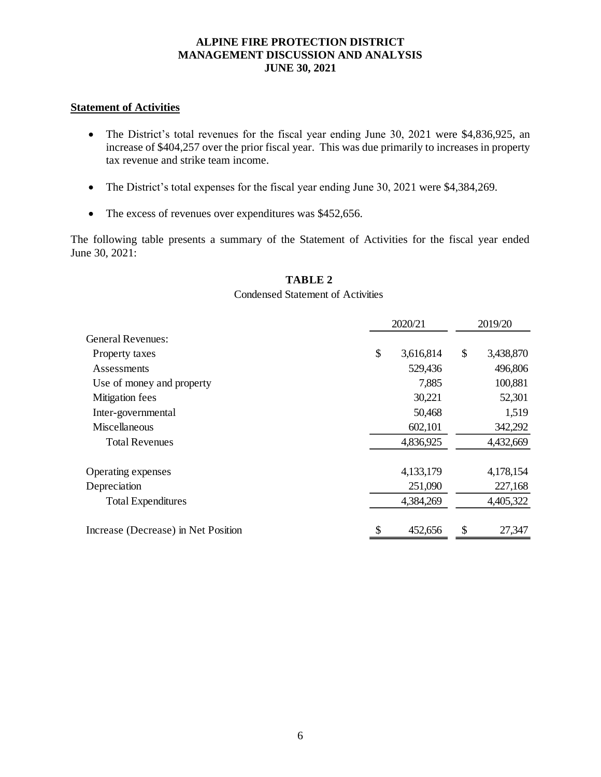#### **Statement of Activities**

- The District's total revenues for the fiscal year ending June 30, 2021 were \$4,836,925, an increase of \$404,257 over the prior fiscal year. This was due primarily to increases in property tax revenue and strike team income.
- The District's total expenses for the fiscal year ending June 30, 2021 were \$4,384,269.
- The excess of revenues over expenditures was \$452,656.

The following table presents a summary of the Statement of Activities for the fiscal year ended June 30, 2021:

#### **TABLE 2**

#### Condensed Statement of Activities

|                                     | 2020/21         |    |           |
|-------------------------------------|-----------------|----|-----------|
| <b>General Revenues:</b>            |                 |    |           |
| Property taxes                      | \$<br>3,616,814 | \$ | 3,438,870 |
| Assessments                         | 529,436         |    | 496,806   |
| Use of money and property           | 7,885           |    | 100,881   |
| Mitigation fees                     | 30,221          |    | 52,301    |
| Inter-governmental                  | 50,468          |    | 1,519     |
| Miscellaneous                       | 602,101         |    | 342,292   |
| <b>Total Revenues</b>               | 4,836,925       |    | 4,432,669 |
| Operating expenses                  | 4,133,179       |    | 4,178,154 |
| Depreciation                        | 251,090         |    | 227,168   |
| <b>Total Expenditures</b>           | 4,384,269       |    | 4,405,322 |
| Increase (Decrease) in Net Position | 452,656         | \$ | 27,347    |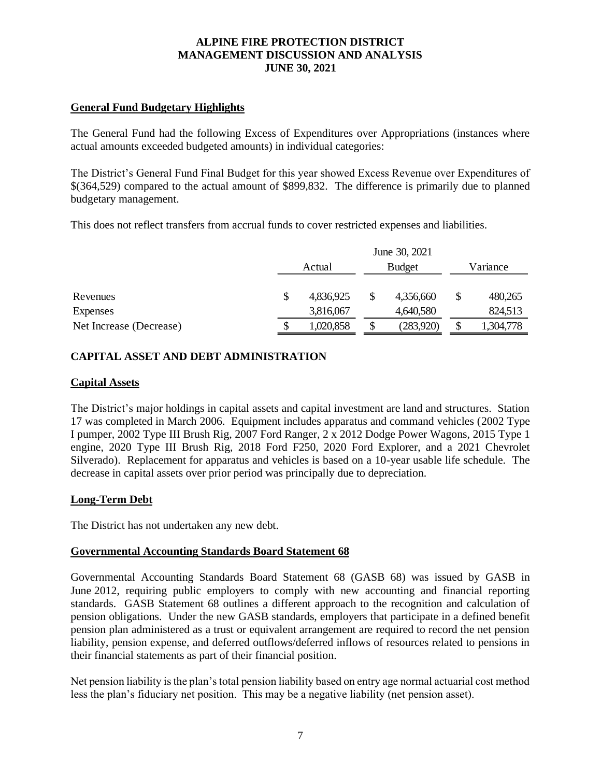# **General Fund Budgetary Highlights**

The General Fund had the following Excess of Expenditures over Appropriations (instances where actual amounts exceeded budgeted amounts) in individual categories:

The District's General Fund Final Budget for this year showed Excess Revenue over Expenditures of \$(364,529) compared to the actual amount of \$899,832. The difference is primarily due to planned budgetary management.

This does not reflect transfers from accrual funds to cover restricted expenses and liabilities.

|                         | June 30, 2021 |           |  |               |  |           |
|-------------------------|---------------|-----------|--|---------------|--|-----------|
|                         | Actual        |           |  | <b>Budget</b> |  | Variance  |
|                         |               |           |  |               |  |           |
| Revenues                |               | 4,836,925 |  | 4,356,660     |  | 480,265   |
| Expenses                |               | 3,816,067 |  | 4,640,580     |  | 824,513   |
| Net Increase (Decrease) |               | 1,020,858 |  | (283,920)     |  | 1,304,778 |

# **CAPITAL ASSET AND DEBT ADMINISTRATION**

#### **Capital Assets**

The District's major holdings in capital assets and capital investment are land and structures. Station 17 was completed in March 2006. Equipment includes apparatus and command vehicles (2002 Type I pumper, 2002 Type III Brush Rig, 2007 Ford Ranger, 2 x 2012 Dodge Power Wagons, 2015 Type 1 engine, 2020 Type III Brush Rig, 2018 Ford F250, 2020 Ford Explorer, and a 2021 Chevrolet Silverado). Replacement for apparatus and vehicles is based on a 10-year usable life schedule. The decrease in capital assets over prior period was principally due to depreciation.

#### **Long-Term Debt**

The District has not undertaken any new debt.

#### **Governmental Accounting Standards Board Statement 68**

Governmental Accounting Standards Board Statement 68 (GASB 68) was issued by GASB in June 2012, requiring public employers to comply with new accounting and financial reporting standards. GASB Statement 68 outlines a different approach to the recognition and calculation of pension obligations. Under the new GASB standards, employers that participate in a defined benefit pension plan administered as a trust or equivalent arrangement are required to record the net pension liability, pension expense, and deferred outflows/deferred inflows of resources related to pensions in their financial statements as part of their financial position.

Net pension liability is the plan's total pension liability based on entry age normal actuarial cost method less the plan's fiduciary net position. This may be a negative liability (net pension asset).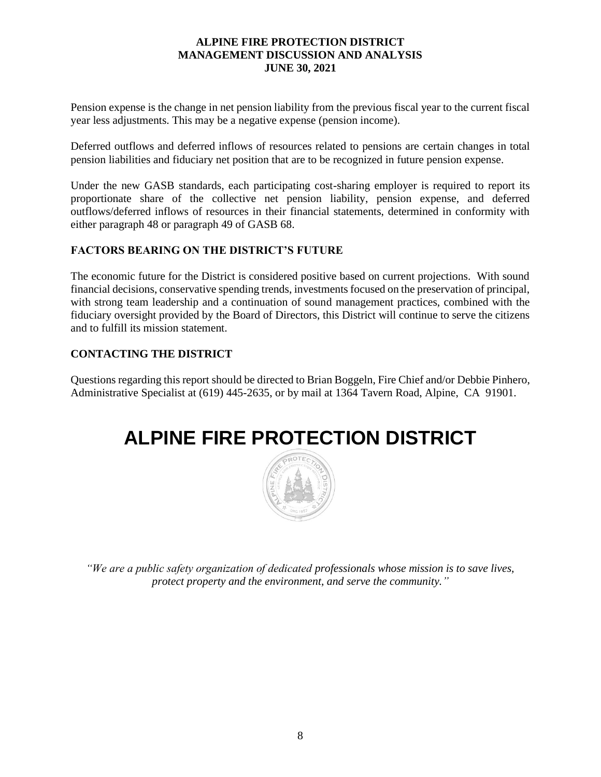Pension expense is the change in net pension liability from the previous fiscal year to the current fiscal year less adjustments. This may be a negative expense (pension income).

Deferred outflows and deferred inflows of resources related to pensions are certain changes in total pension liabilities and fiduciary net position that are to be recognized in future pension expense.

Under the new GASB standards, each participating cost-sharing employer is required to report its proportionate share of the collective net pension liability, pension expense, and deferred outflows/deferred inflows of resources in their financial statements, determined in conformity with either paragraph 48 or paragraph 49 of GASB 68.

# **FACTORS BEARING ON THE DISTRICT'S FUTURE**

The economic future for the District is considered positive based on current projections. With sound financial decisions, conservative spending trends, investments focused on the preservation of principal, with strong team leadership and a continuation of sound management practices, combined with the fiduciary oversight provided by the Board of Directors, this District will continue to serve the citizens and to fulfill its mission statement.

# **CONTACTING THE DISTRICT**

Questions regarding this report should be directed to Brian Boggeln, Fire Chief and/or Debbie Pinhero, Administrative Specialist at (619) 445-2635, or by mail at 1364 Tavern Road, Alpine, CA 91901.

# **ALPINE FIRE PROTECTION DISTRICT**



*"We are a public safety organization of dedicated professionals whose mission is to save lives, protect property and the environment, and serve the community."*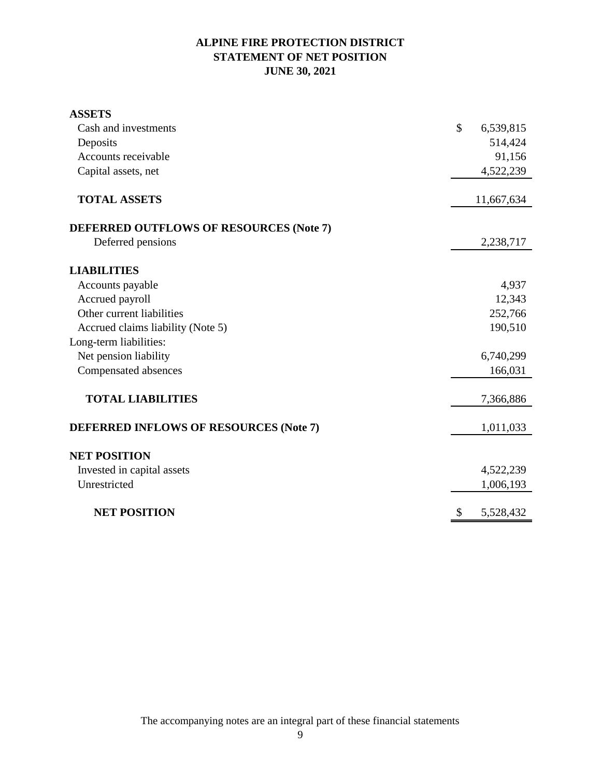# **ALPINE FIRE PROTECTION DISTRICT STATEMENT OF NET POSITION JUNE 30, 2021**

| <b>ASSETS</b>                                 |               |            |
|-----------------------------------------------|---------------|------------|
| Cash and investments                          | $\mathcal{S}$ | 6,539,815  |
| Deposits                                      |               | 514,424    |
| Accounts receivable                           |               | 91,156     |
| Capital assets, net                           |               | 4,522,239  |
| <b>TOTAL ASSETS</b>                           |               | 11,667,634 |
| DEFERRED OUTFLOWS OF RESOURCES (Note 7)       |               |            |
| Deferred pensions                             |               | 2,238,717  |
| <b>LIABILITIES</b>                            |               |            |
| Accounts payable                              |               | 4,937      |
| Accrued payroll                               |               | 12,343     |
| Other current liabilities                     |               | 252,766    |
| Accrued claims liability (Note 5)             |               | 190,510    |
| Long-term liabilities:                        |               |            |
| Net pension liability                         |               | 6,740,299  |
| Compensated absences                          |               | 166,031    |
| <b>TOTAL LIABILITIES</b>                      |               | 7,366,886  |
| <b>DEFERRED INFLOWS OF RESOURCES (Note 7)</b> |               | 1,011,033  |
| <b>NET POSITION</b>                           |               |            |
| Invested in capital assets                    |               | 4,522,239  |
| Unrestricted                                  |               | 1,006,193  |
| <b>NET POSITION</b>                           | \$            | 5,528,432  |

The accompanying notes are an integral part of these financial statements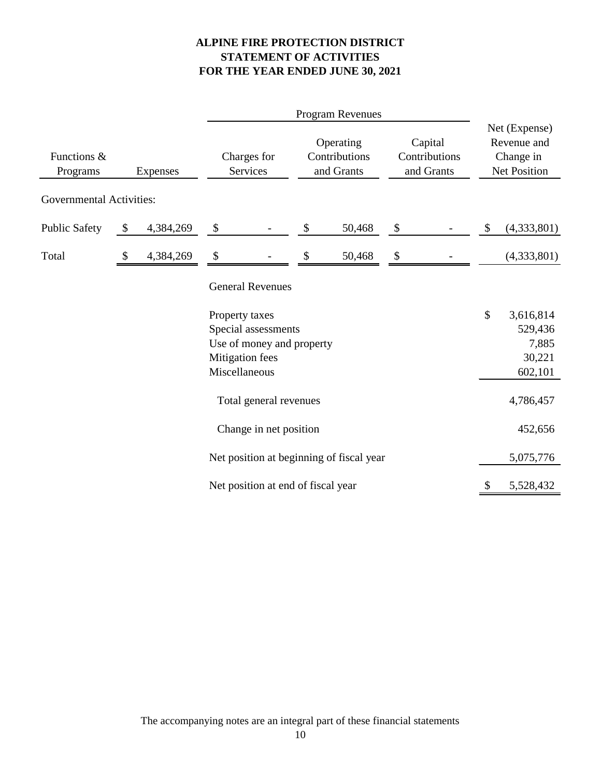# **ALPINE FIRE PROTECTION DISTRICT STATEMENT OF ACTIVITIES FOR THE YEAR ENDED JUNE 30, 2021**

|                                            |    |                                                                     |                                                    |                                                  | <b>Program Revenues</b>                  |                                                                  |  |    |                                                    |
|--------------------------------------------|----|---------------------------------------------------------------------|----------------------------------------------------|--------------------------------------------------|------------------------------------------|------------------------------------------------------------------|--|----|----------------------------------------------------|
| Functions &<br>Programs<br><b>Expenses</b> |    | Operating<br>Contributions<br>Charges for<br>and Grants<br>Services |                                                    | Capital<br>Contributions<br>and Grants           |                                          | Net (Expense)<br>Revenue and<br>Change in<br><b>Net Position</b> |  |    |                                                    |
| <b>Governmental Activities:</b>            |    |                                                                     |                                                    |                                                  |                                          |                                                                  |  |    |                                                    |
| <b>Public Safety</b>                       | \$ | 4,384,269                                                           | \$                                                 |                                                  | \$<br>50,468                             | \$                                                               |  | \$ | (4,333,801)                                        |
| Total                                      | \$ | 4,384,269                                                           | \$                                                 |                                                  | 50,468                                   | \$                                                               |  |    | (4,333,801)                                        |
|                                            |    |                                                                     |                                                    | <b>General Revenues</b>                          |                                          |                                                                  |  |    |                                                    |
|                                            |    |                                                                     | Property taxes<br>Mitigation fees<br>Miscellaneous | Special assessments<br>Use of money and property |                                          |                                                                  |  | \$ | 3,616,814<br>529,436<br>7,885<br>30,221<br>602,101 |
|                                            |    |                                                                     |                                                    | Total general revenues                           |                                          |                                                                  |  |    | 4,786,457                                          |
|                                            |    |                                                                     |                                                    | Change in net position                           |                                          |                                                                  |  |    | 452,656                                            |
|                                            |    |                                                                     |                                                    |                                                  | Net position at beginning of fiscal year |                                                                  |  |    | 5,075,776                                          |
|                                            |    |                                                                     |                                                    | Net position at end of fiscal year               |                                          |                                                                  |  | \$ | 5,528,432                                          |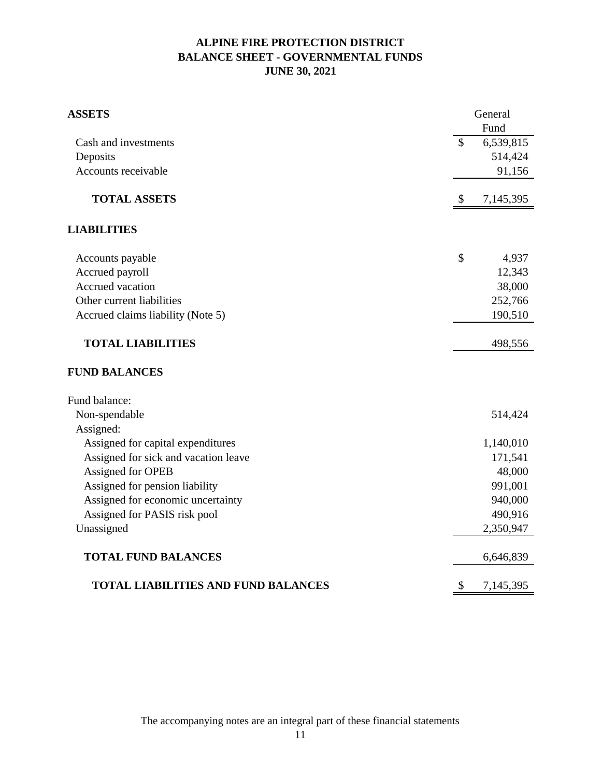# **ALPINE FIRE PROTECTION DISTRICT BALANCE SHEET - GOVERNMENTAL FUNDS JUNE 30, 2021**

| <b>ASSETS</b>                              | General         |
|--------------------------------------------|-----------------|
|                                            | Fund            |
| Cash and investments                       | \$<br>6,539,815 |
| Deposits                                   | 514,424         |
| Accounts receivable                        | 91,156          |
| <b>TOTAL ASSETS</b>                        | \$<br>7,145,395 |
| <b>LIABILITIES</b>                         |                 |
| Accounts payable                           | \$<br>4,937     |
| Accrued payroll                            | 12,343          |
| Accrued vacation                           | 38,000          |
| Other current liabilities                  | 252,766         |
| Accrued claims liability (Note 5)          | 190,510         |
| <b>TOTAL LIABILITIES</b>                   | 498,556         |
| <b>FUND BALANCES</b>                       |                 |
| Fund balance:                              |                 |
| Non-spendable                              | 514,424         |
| Assigned:                                  |                 |
| Assigned for capital expenditures          | 1,140,010       |
| Assigned for sick and vacation leave       | 171,541         |
| Assigned for OPEB                          | 48,000          |
| Assigned for pension liability             | 991,001         |
| Assigned for economic uncertainty          | 940,000         |
| Assigned for PASIS risk pool               | 490,916         |
| Unassigned                                 | 2,350,947       |
| <b>TOTAL FUND BALANCES</b>                 | 6,646,839       |
| <b>TOTAL LIABILITIES AND FUND BALANCES</b> | \$<br>7,145,395 |

The accompanying notes are an integral part of these financial statements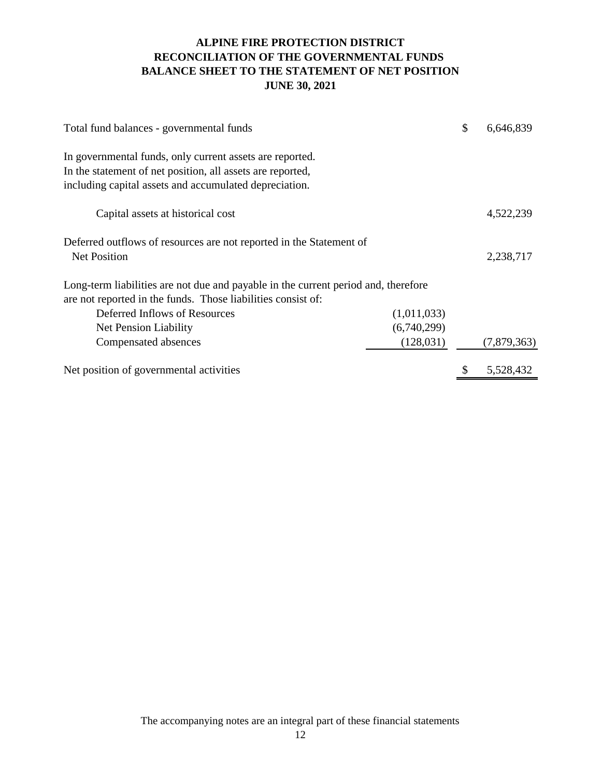# **ALPINE FIRE PROTECTION DISTRICT RECONCILIATION OF THE GOVERNMENTAL FUNDS BALANCE SHEET TO THE STATEMENT OF NET POSITION JUNE 30, 2021**

| Total fund balances - governmental funds                                           | \$<br>6,646,839 |
|------------------------------------------------------------------------------------|-----------------|
| In governmental funds, only current assets are reported.                           |                 |
| In the statement of net position, all assets are reported,                         |                 |
| including capital assets and accumulated depreciation.                             |                 |
| Capital assets at historical cost                                                  | 4,522,239       |
| Deferred outflows of resources are not reported in the Statement of                |                 |
| <b>Net Position</b>                                                                | 2,238,717       |
| Long-term liabilities are not due and payable in the current period and, therefore |                 |
| are not reported in the funds. Those liabilities consist of:                       |                 |
| Deferred Inflows of Resources<br>(1,011,033)                                       |                 |
| (6,740,299)<br>Net Pension Liability                                               |                 |
| (128, 031)<br>Compensated absences                                                 | (7,879,363)     |
| Net position of governmental activities                                            | 5,528,432       |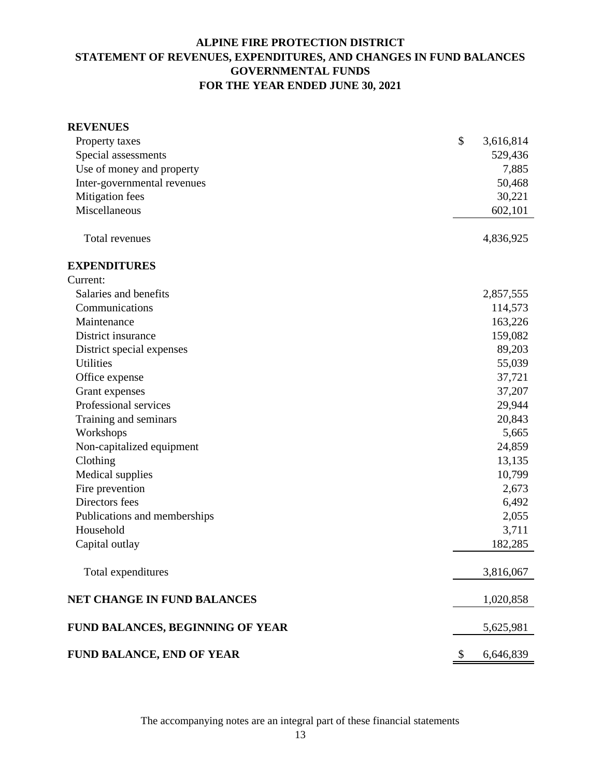# **ALPINE FIRE PROTECTION DISTRICT STATEMENT OF REVENUES, EXPENDITURES, AND CHANGES IN FUND BALANCES GOVERNMENTAL FUNDS FOR THE YEAR ENDED JUNE 30, 2021**

| <b>REVENUES</b>                    |                 |  |
|------------------------------------|-----------------|--|
| Property taxes                     | \$<br>3,616,814 |  |
| Special assessments                | 529,436         |  |
| Use of money and property          | 7,885           |  |
| Inter-governmental revenues        | 50,468          |  |
| Mitigation fees                    | 30,221          |  |
| Miscellaneous                      | 602,101         |  |
| Total revenues                     | 4,836,925       |  |
| <b>EXPENDITURES</b>                |                 |  |
| Current:                           |                 |  |
| Salaries and benefits              | 2,857,555       |  |
| Communications                     | 114,573         |  |
| Maintenance                        | 163,226         |  |
| District insurance                 | 159,082         |  |
| District special expenses          | 89,203          |  |
| <b>Utilities</b>                   | 55,039          |  |
| Office expense                     | 37,721          |  |
| Grant expenses                     | 37,207          |  |
| Professional services              | 29,944          |  |
| Training and seminars              | 20,843          |  |
| Workshops                          | 5,665           |  |
| Non-capitalized equipment          | 24,859          |  |
| Clothing                           | 13,135          |  |
| Medical supplies                   | 10,799          |  |
| Fire prevention                    | 2,673           |  |
| Directors fees                     | 6,492           |  |
| Publications and memberships       | 2,055           |  |
| Household                          | 3,711           |  |
| Capital outlay                     | 182,285         |  |
| Total expenditures                 | 3,816,067       |  |
| <b>NET CHANGE IN FUND BALANCES</b> | 1,020,858       |  |
| FUND BALANCES, BEGINNING OF YEAR   | 5,625,981       |  |
| FUND BALANCE, END OF YEAR          | 6,646,839<br>\$ |  |

The accompanying notes are an integral part of these financial statements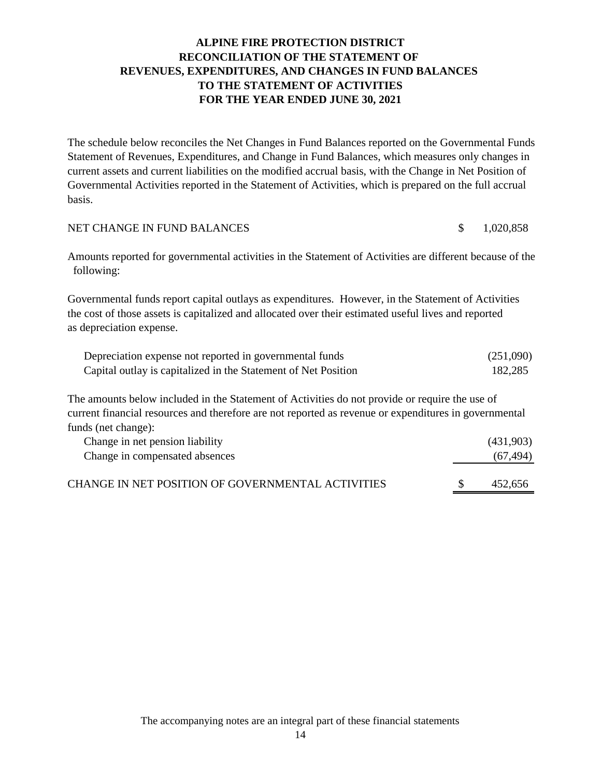# **ALPINE FIRE PROTECTION DISTRICT RECONCILIATION OF THE STATEMENT OF REVENUES, EXPENDITURES, AND CHANGES IN FUND BALANCES TO THE STATEMENT OF ACTIVITIES FOR THE YEAR ENDED JUNE 30, 2021**

The schedule below reconciles the Net Changes in Fund Balances reported on the Governmental Funds Statement of Revenues, Expenditures, and Change in Fund Balances, which measures only changes in current assets and current liabilities on the modified accrual basis, with the Change in Net Position of Governmental Activities reported in the Statement of Activities, which is prepared on the full accrual basis.

| NET CHANGE IN FUND BALANCES |  | 1,020,858 |
|-----------------------------|--|-----------|
|-----------------------------|--|-----------|

Amounts reported for governmental activities in the Statement of Activities are different because of the following:

Governmental funds report capital outlays as expenditures. However, in the Statement of Activities the cost of those assets is capitalized and allocated over their estimated useful lives and reported as depreciation expense.

| Depreciation expense not reported in governmental funds        | (251,090) |
|----------------------------------------------------------------|-----------|
| Capital outlay is capitalized in the Statement of Net Position | 182,285   |

The amounts below included in the Statement of Activities do not provide or require the use of current financial resources and therefore are not reported as revenue or expenditures in governmental funds (net change):

| Change in net pension liability<br>Change in compensated absences | (431,903)<br>(67, 494) |
|-------------------------------------------------------------------|------------------------|
| CHANGE IN NET POSITION OF GOVERNMENTAL ACTIVITIES                 | 452.656                |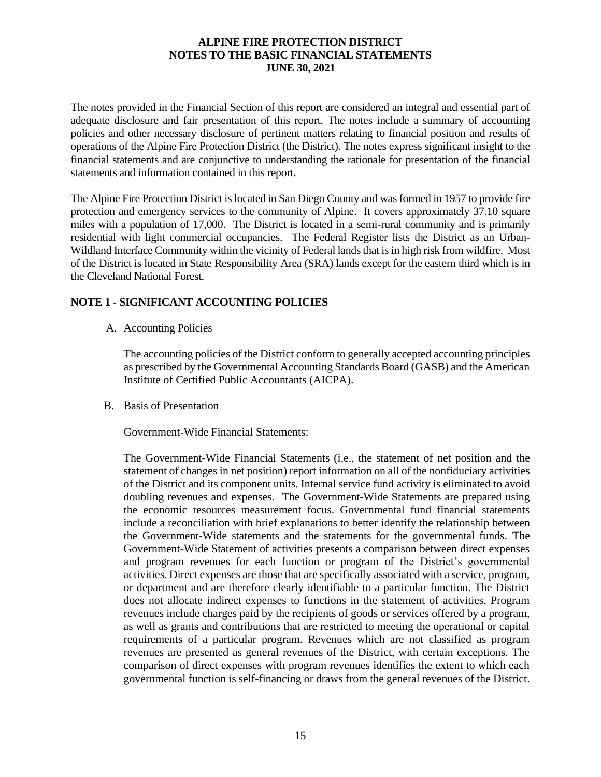The notes provided in the Financial Section of this report are considered an integral and essential part of adequate disclosure and fair presentation of this report. The notes include a summary of accounting policies and other necessary disclosure of pertinent matters relating to financial position and results of operations of the Alpine Fire Protection District (the District). The notes express significant insight to the financial statements and are conjunctive to understanding the rationale for presentation of the financial statements and information contained in this report.

The Alpine Fire Protection District is located in San Diego County and was formed in 1957 to provide fire protection and emergency services to the community of Alpine. It covers approximately 37.10 square miles with a population of 17,000. The District is located in a semi-rural community and is primarily residential with light commercial occupancies. The Federal Register lists the District as an Urban-Wildland Interface Community within the vicinity of Federal lands that is in high risk from wildfire. Most of the District is located in State Responsibility Area (SRA) lands except for the eastern third which is in the Cleveland National Forest.

# **NOTE 1 - SIGNIFICANT ACCOUNTING POLICIES**

A. Accounting Policies

The accounting policies of the District conform to generally accepted accounting principles as prescribed by the Governmental Accounting Standards Board (GASB) and the American Institute of Certified Public Accountants (AICPA).

B. Basis of Presentation

Government-Wide Financial Statements:

The Government-Wide Financial Statements (i.e., the statement of net position and the statement of changes in net position) report information on all of the nonfiduciary activities of the District and its component units. Internal service fund activity is eliminated to avoid doubling revenues and expenses. The Government-Wide Statements are prepared using the economic resources measurement focus. Governmental fund financial statements include a reconciliation with brief explanations to better identify the relationship between the Government-Wide statements and the statements for the governmental funds. The Government-Wide Statement of activities presents a comparison between direct expenses and program revenues for each function or program of the District's governmental activities. Direct expenses are those that are specifically associated with a service, program, or department and are therefore clearly identifiable to a particular function. The District does not allocate indirect expenses to functions in the statement of activities. Program revenues include charges paid by the recipients of goods or services offered by a program, as well as grants and contributions that are restricted to meeting the operational or capital requirements of a particular program. Revenues which are not classified as program revenues are presented as general revenues of the District, with certain exceptions. The comparison of direct expenses with program revenues identifies the extent to which each governmental function is self-financing or draws from the general revenues of the District.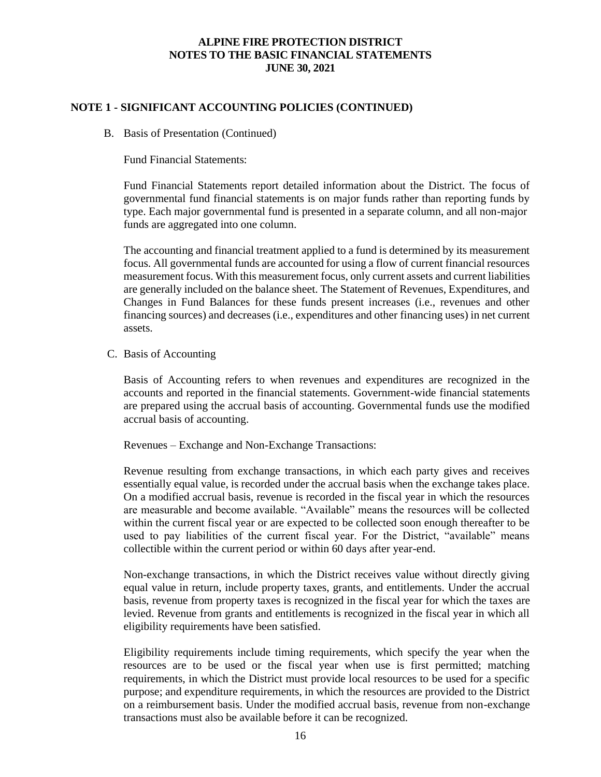# **NOTE 1 - SIGNIFICANT ACCOUNTING POLICIES (CONTINUED)**

B. Basis of Presentation (Continued)

Fund Financial Statements:

Fund Financial Statements report detailed information about the District. The focus of governmental fund financial statements is on major funds rather than reporting funds by type. Each major governmental fund is presented in a separate column, and all non-major funds are aggregated into one column.

The accounting and financial treatment applied to a fund is determined by its measurement focus. All governmental funds are accounted for using a flow of current financial resources measurement focus. With this measurement focus, only current assets and current liabilities are generally included on the balance sheet. The Statement of Revenues, Expenditures, and Changes in Fund Balances for these funds present increases (i.e., revenues and other financing sources) and decreases (i.e., expenditures and other financing uses) in net current assets.

C. Basis of Accounting

Basis of Accounting refers to when revenues and expenditures are recognized in the accounts and reported in the financial statements. Government-wide financial statements are prepared using the accrual basis of accounting. Governmental funds use the modified accrual basis of accounting.

Revenues – Exchange and Non-Exchange Transactions:

Revenue resulting from exchange transactions, in which each party gives and receives essentially equal value, is recorded under the accrual basis when the exchange takes place. On a modified accrual basis, revenue is recorded in the fiscal year in which the resources are measurable and become available. "Available" means the resources will be collected within the current fiscal year or are expected to be collected soon enough thereafter to be used to pay liabilities of the current fiscal year. For the District, "available" means collectible within the current period or within 60 days after year-end.

Non-exchange transactions, in which the District receives value without directly giving equal value in return, include property taxes, grants, and entitlements. Under the accrual basis, revenue from property taxes is recognized in the fiscal year for which the taxes are levied. Revenue from grants and entitlements is recognized in the fiscal year in which all eligibility requirements have been satisfied.

Eligibility requirements include timing requirements, which specify the year when the resources are to be used or the fiscal year when use is first permitted; matching requirements, in which the District must provide local resources to be used for a specific purpose; and expenditure requirements, in which the resources are provided to the District on a reimbursement basis. Under the modified accrual basis, revenue from non-exchange transactions must also be available before it can be recognized.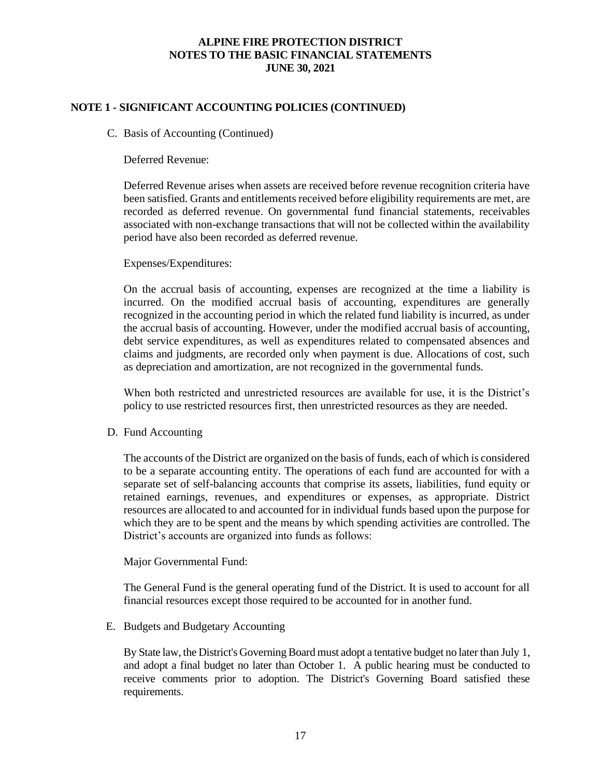# **NOTE 1 - SIGNIFICANT ACCOUNTING POLICIES (CONTINUED)**

#### C. Basis of Accounting (Continued)

Deferred Revenue:

Deferred Revenue arises when assets are received before revenue recognition criteria have been satisfied. Grants and entitlements received before eligibility requirements are met, are recorded as deferred revenue. On governmental fund financial statements, receivables associated with non-exchange transactions that will not be collected within the availability period have also been recorded as deferred revenue.

#### Expenses/Expenditures:

On the accrual basis of accounting, expenses are recognized at the time a liability is incurred. On the modified accrual basis of accounting, expenditures are generally recognized in the accounting period in which the related fund liability is incurred, as under the accrual basis of accounting. However, under the modified accrual basis of accounting, debt service expenditures, as well as expenditures related to compensated absences and claims and judgments, are recorded only when payment is due. Allocations of cost, such as depreciation and amortization, are not recognized in the governmental funds.

When both restricted and unrestricted resources are available for use, it is the District's policy to use restricted resources first, then unrestricted resources as they are needed.

#### D. Fund Accounting

The accounts of the District are organized on the basis of funds, each of which is considered to be a separate accounting entity. The operations of each fund are accounted for with a separate set of self-balancing accounts that comprise its assets, liabilities, fund equity or retained earnings, revenues, and expenditures or expenses, as appropriate. District resources are allocated to and accounted for in individual funds based upon the purpose for which they are to be spent and the means by which spending activities are controlled. The District's accounts are organized into funds as follows:

#### Major Governmental Fund:

The General Fund is the general operating fund of the District. It is used to account for all financial resources except those required to be accounted for in another fund.

#### E. Budgets and Budgetary Accounting

 By State law, the District's Governing Board must adopt a tentative budget no later than July 1, and adopt a final budget no later than October 1. A public hearing must be conducted to receive comments prior to adoption. The District's Governing Board satisfied these requirements.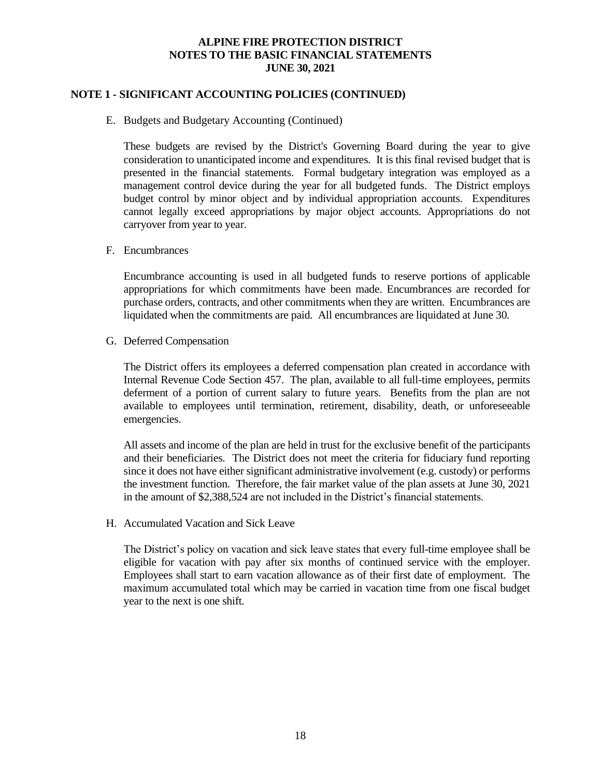### **NOTE 1 - SIGNIFICANT ACCOUNTING POLICIES (CONTINUED)**

#### E. Budgets and Budgetary Accounting (Continued)

These budgets are revised by the District's Governing Board during the year to give consideration to unanticipated income and expenditures. It is this final revised budget that is presented in the financial statements. Formal budgetary integration was employed as a management control device during the year for all budgeted funds. The District employs budget control by minor object and by individual appropriation accounts. Expenditures cannot legally exceed appropriations by major object accounts. Appropriations do not carryover from year to year.

#### F. Encumbrances

Encumbrance accounting is used in all budgeted funds to reserve portions of applicable appropriations for which commitments have been made. Encumbrances are recorded for purchase orders, contracts, and other commitments when they are written. Encumbrances are liquidated when the commitments are paid. All encumbrances are liquidated at June 30.

#### G. Deferred Compensation

The District offers its employees a deferred compensation plan created in accordance with Internal Revenue Code Section 457. The plan, available to all full-time employees, permits deferment of a portion of current salary to future years. Benefits from the plan are not available to employees until termination, retirement, disability, death, or unforeseeable emergencies.

All assets and income of the plan are held in trust for the exclusive benefit of the participants and their beneficiaries. The District does not meet the criteria for fiduciary fund reporting since it does not have either significant administrative involvement (e.g. custody) or performs the investment function. Therefore, the fair market value of the plan assets at June 30, 2021 in the amount of \$2,388,524 are not included in the District's financial statements.

#### H. Accumulated Vacation and Sick Leave

The District's policy on vacation and sick leave states that every full-time employee shall be eligible for vacation with pay after six months of continued service with the employer. Employees shall start to earn vacation allowance as of their first date of employment. The maximum accumulated total which may be carried in vacation time from one fiscal budget year to the next is one shift.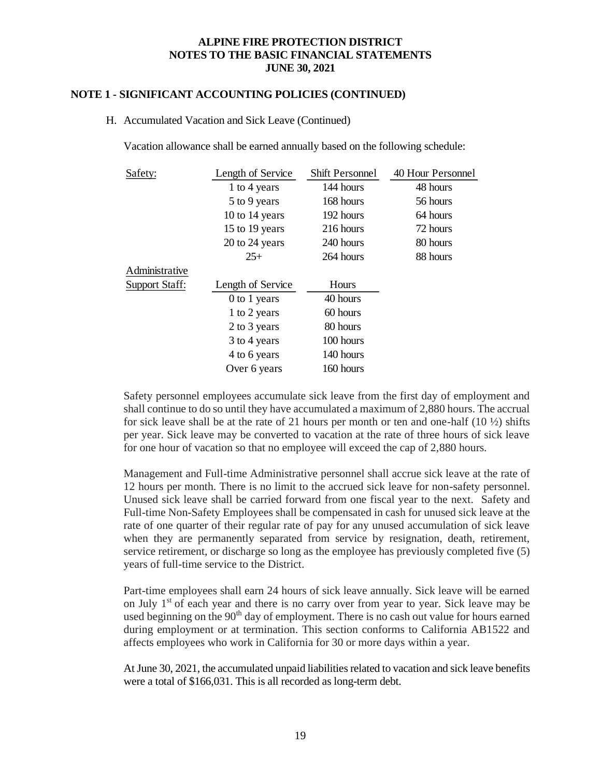#### **NOTE 1 - SIGNIFICANT ACCOUNTING POLICIES (CONTINUED)**

#### H. Accumulated Vacation and Sick Leave (Continued)

Vacation allowance shall be earned annually based on the following schedule:

| Safety:               | Length of Service | Shift Personnel | 40 Hour Personnel |
|-----------------------|-------------------|-----------------|-------------------|
|                       | 1 to 4 years      | 144 hours       | 48 hours          |
|                       | 5 to 9 years      | 168 hours       | 56 hours          |
|                       | 10 to 14 years    | 192 hours       | 64 hours          |
|                       | 15 to 19 years    | 216 hours       | 72 hours          |
|                       | 20 to 24 years    | 240 hours       | 80 hours          |
|                       | $25+$             | 264 hours       | 88 hours          |
| Administrative        |                   |                 |                   |
| <b>Support Staff:</b> | Length of Service | Hours           |                   |
|                       | 0 to 1 years      | 40 hours        |                   |
|                       | 1 to 2 years      | 60 hours        |                   |
|                       | 2 to 3 years      | 80 hours        |                   |
|                       | 3 to 4 years      | 100 hours       |                   |
|                       | 4 to 6 years      | 140 hours       |                   |
|                       | Over 6 years      | 160 hours       |                   |

Safety personnel employees accumulate sick leave from the first day of employment and shall continue to do so until they have accumulated a maximum of 2,880 hours. The accrual for sick leave shall be at the rate of 21 hours per month or ten and one-half  $(10 \frac{1}{2})$  shifts per year. Sick leave may be converted to vacation at the rate of three hours of sick leave for one hour of vacation so that no employee will exceed the cap of 2,880 hours.

Management and Full-time Administrative personnel shall accrue sick leave at the rate of 12 hours per month. There is no limit to the accrued sick leave for non-safety personnel. Unused sick leave shall be carried forward from one fiscal year to the next. Safety and Full-time Non-Safety Employees shall be compensated in cash for unused sick leave at the rate of one quarter of their regular rate of pay for any unused accumulation of sick leave when they are permanently separated from service by resignation, death, retirement, service retirement, or discharge so long as the employee has previously completed five (5) years of full-time service to the District.

Part-time employees shall earn 24 hours of sick leave annually. Sick leave will be earned on July  $1<sup>st</sup>$  of each year and there is no carry over from year to year. Sick leave may be used beginning on the  $90<sup>th</sup>$  day of employment. There is no cash out value for hours earned during employment or at termination. This section conforms to California AB1522 and affects employees who work in California for 30 or more days within a year.

At June 30, 2021, the accumulated unpaid liabilities related to vacation and sick leave benefits were a total of \$166,031. This is all recorded as long-term debt.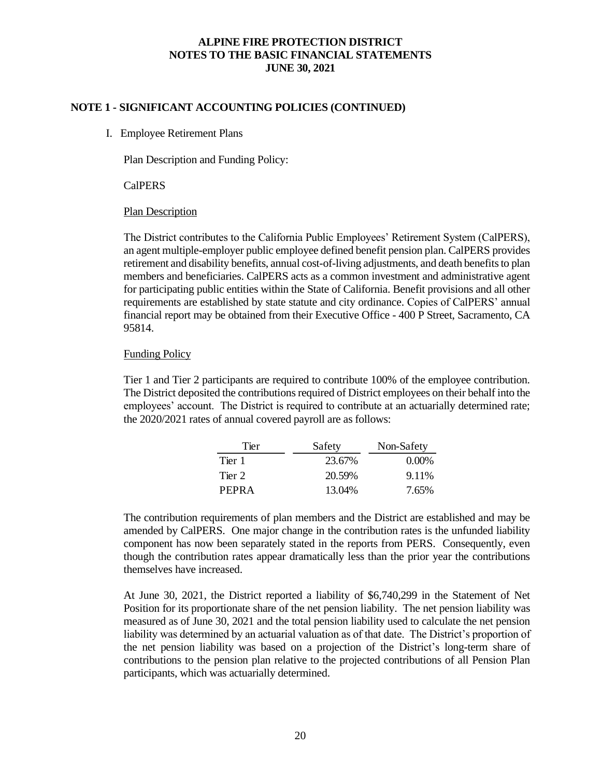### **NOTE 1 - SIGNIFICANT ACCOUNTING POLICIES (CONTINUED)**

I. Employee Retirement Plans

Plan Description and Funding Policy:

CalPERS

#### Plan Description

The District contributes to the California Public Employees' Retirement System (CalPERS), an agent multiple-employer public employee defined benefit pension plan. CalPERS provides retirement and disability benefits, annual cost-of-living adjustments, and death benefits to plan members and beneficiaries. CalPERS acts as a common investment and administrative agent for participating public entities within the State of California. Benefit provisions and all other requirements are established by state statute and city ordinance. Copies of CalPERS' annual financial report may be obtained from their Executive Office - 400 P Street, Sacramento, CA 95814.

#### Funding Policy

Tier 1 and Tier 2 participants are required to contribute 100% of the employee contribution. The District deposited the contributions required of District employees on their behalf into the employees' account. The District is required to contribute at an actuarially determined rate; the 2020/2021 rates of annual covered payroll are as follows:

| Tier   | Safety | Non-Safety |
|--------|--------|------------|
| Tier 1 | 23.67% | $0.00\%$   |
| Tier 2 | 20.59% | 9.11\%     |
| PEPRA  | 13.04% | 7.65%      |

The contribution requirements of plan members and the District are established and may be amended by CalPERS. One major change in the contribution rates is the unfunded liability component has now been separately stated in the reports from PERS. Consequently, even though the contribution rates appear dramatically less than the prior year the contributions themselves have increased.

At June 30, 2021, the District reported a liability of \$6,740,299 in the Statement of Net Position for its proportionate share of the net pension liability. The net pension liability was measured as of June 30, 2021 and the total pension liability used to calculate the net pension liability was determined by an actuarial valuation as of that date. The District's proportion of the net pension liability was based on a projection of the District's long-term share of contributions to the pension plan relative to the projected contributions of all Pension Plan participants, which was actuarially determined.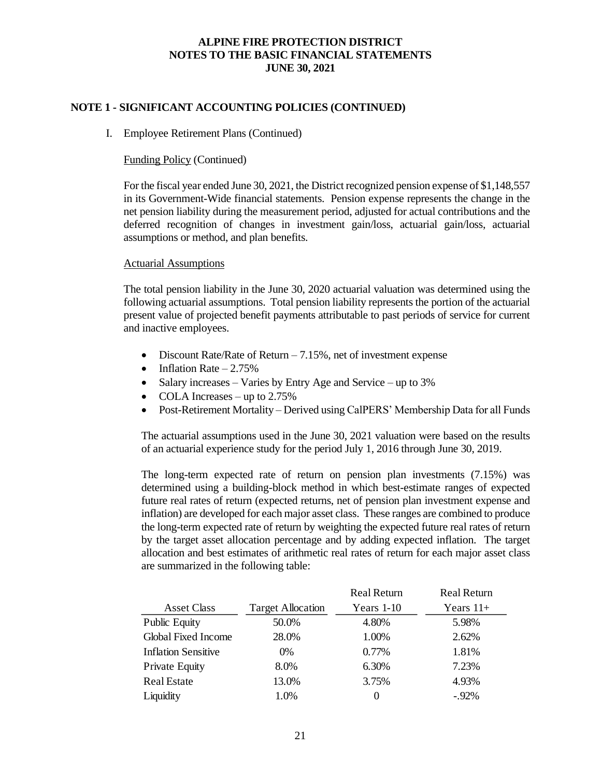### **NOTE 1 - SIGNIFICANT ACCOUNTING POLICIES (CONTINUED)**

#### I. Employee Retirement Plans (Continued)

#### Funding Policy (Continued)

For the fiscal year ended June 30, 2021, the District recognized pension expense of \$1,148,557 in its Government-Wide financial statements. Pension expense represents the change in the net pension liability during the measurement period, adjusted for actual contributions and the deferred recognition of changes in investment gain/loss, actuarial gain/loss, actuarial assumptions or method, and plan benefits.

#### Actuarial Assumptions

The total pension liability in the June 30, 2020 actuarial valuation was determined using the following actuarial assumptions. Total pension liability represents the portion of the actuarial present value of projected benefit payments attributable to past periods of service for current and inactive employees.

- Discount Rate/Rate of Return  $-7.15\%$ , net of investment expense
- Inflation Rate  $-2.75%$
- Salary increases Varies by Entry Age and Service up to 3%
- COLA Increases up to 2.75%
- Post-Retirement Mortality Derived using CalPERS' Membership Data for all Funds

The actuarial assumptions used in the June 30, 2021 valuation were based on the results of an actuarial experience study for the period July 1, 2016 through June 30, 2019.

The long-term expected rate of return on pension plan investments (7.15%) was determined using a building-block method in which best-estimate ranges of expected future real rates of return (expected returns, net of pension plan investment expense and inflation) are developed for each major asset class. These ranges are combined to produce the long-term expected rate of return by weighting the expected future real rates of return by the target asset allocation percentage and by adding expected inflation. The target allocation and best estimates of arithmetic real rates of return for each major asset class are summarized in the following table:

|                            |                          | <b>Real Return</b> | <b>Real Return</b> |
|----------------------------|--------------------------|--------------------|--------------------|
| <b>Asset Class</b>         | <b>Target Allocation</b> | Years $1-10$       | Years $11+$        |
| <b>Public Equity</b>       | 50.0%                    | 4.80%              | 5.98%              |
| <b>Global Fixed Income</b> | 28.0%                    | 1.00%              | 2.62%              |
| <b>Inflation Sensitive</b> | $0\%$                    | 0.77%              | 1.81%              |
| <b>Private Equity</b>      | 8.0%                     | 6.30%              | 7.23%              |
| <b>Real Estate</b>         | 13.0%                    | 3.75%              | 4.93%              |
| Liquidity                  | 1.0%                     | $\theta$           | $-.92%$            |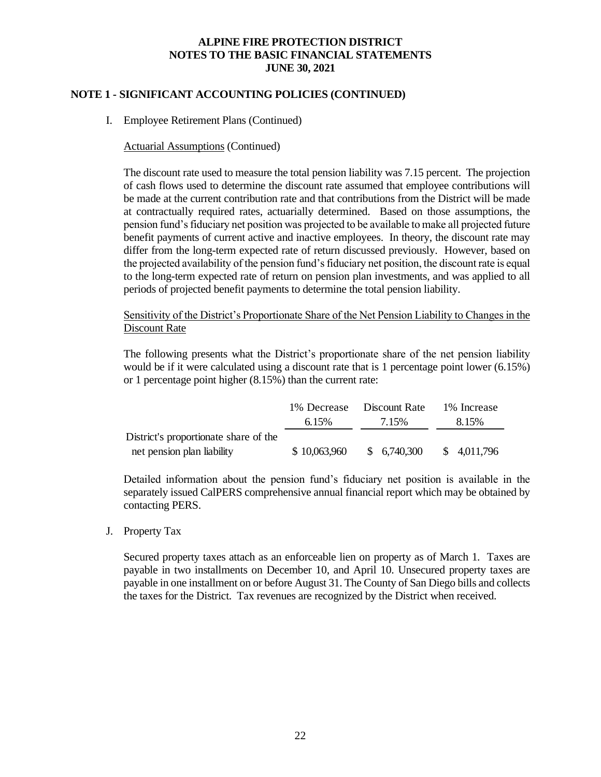# **NOTE 1 - SIGNIFICANT ACCOUNTING POLICIES (CONTINUED)**

I. Employee Retirement Plans (Continued)

### Actuarial Assumptions (Continued)

The discount rate used to measure the total pension liability was 7.15 percent. The projection of cash flows used to determine the discount rate assumed that employee contributions will be made at the current contribution rate and that contributions from the District will be made at contractually required rates, actuarially determined. Based on those assumptions, the pension fund's fiduciary net position was projected to be available to make all projected future benefit payments of current active and inactive employees. In theory, the discount rate may differ from the long-term expected rate of return discussed previously. However, based on the projected availability of the pension fund's fiduciary net position, the discount rate is equal to the long-term expected rate of return on pension plan investments, and was applied to all periods of projected benefit payments to determine the total pension liability.

Sensitivity of the District's Proportionate Share of the Net Pension Liability to Changes in the Discount Rate

The following presents what the District's proportionate share of the net pension liability would be if it were calculated using a discount rate that is 1 percentage point lower (6.15%) or 1 percentage point higher (8.15%) than the current rate:

|                                       |              | 1% Decrease Discount Rate | 1% Increase  |
|---------------------------------------|--------------|---------------------------|--------------|
|                                       | 6.15%        | 7.15%                     | 8.15%        |
| District's proportionate share of the |              |                           |              |
| net pension plan liability            | \$10,063,960 | \$6,740,300               | \$ 4,011,796 |

Detailed information about the pension fund's fiduciary net position is available in the separately issued CalPERS comprehensive annual financial report which may be obtained by contacting PERS.

#### J. Property Tax

Secured property taxes attach as an enforceable lien on property as of March 1. Taxes are payable in two installments on December 10, and April 10. Unsecured property taxes are payable in one installment on or before August 31. The County of San Diego bills and collects the taxes for the District. Tax revenues are recognized by the District when received.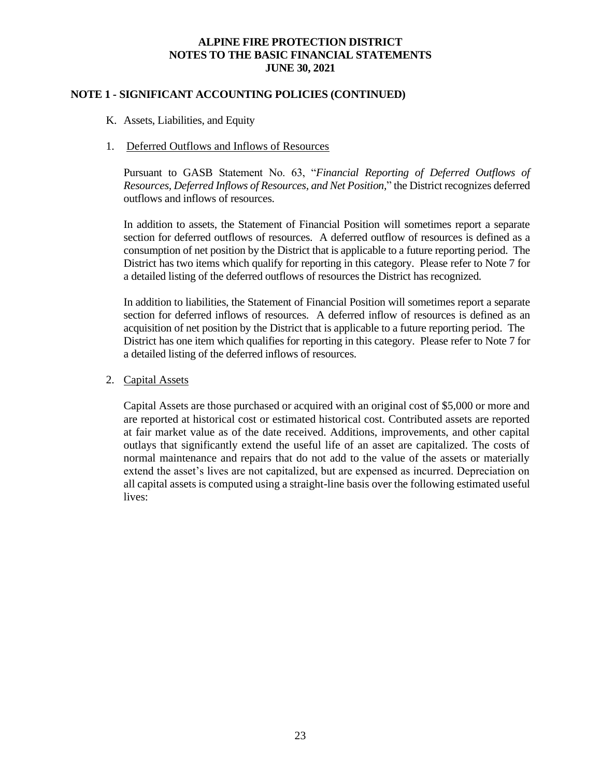## **NOTE 1 - SIGNIFICANT ACCOUNTING POLICIES (CONTINUED)**

K. Assets, Liabilities, and Equity

#### 1. Deferred Outflows and Inflows of Resources

Pursuant to GASB Statement No. 63, "*Financial Reporting of Deferred Outflows of Resources, Deferred Inflows of Resources, and Net Position,*" the District recognizes deferred outflows and inflows of resources.

In addition to assets, the Statement of Financial Position will sometimes report a separate section for deferred outflows of resources. A deferred outflow of resources is defined as a consumption of net position by the District that is applicable to a future reporting period. The District has two items which qualify for reporting in this category. Please refer to Note 7 for a detailed listing of the deferred outflows of resources the District has recognized.

In addition to liabilities, the Statement of Financial Position will sometimes report a separate section for deferred inflows of resources. A deferred inflow of resources is defined as an acquisition of net position by the District that is applicable to a future reporting period. The District has one item which qualifies for reporting in this category. Please refer to Note 7 for a detailed listing of the deferred inflows of resources.

### 2. Capital Assets

Capital Assets are those purchased or acquired with an original cost of \$5,000 or more and are reported at historical cost or estimated historical cost. Contributed assets are reported at fair market value as of the date received. Additions, improvements, and other capital outlays that significantly extend the useful life of an asset are capitalized. The costs of normal maintenance and repairs that do not add to the value of the assets or materially extend the asset's lives are not capitalized, but are expensed as incurred. Depreciation on all capital assets is computed using a straight-line basis over the following estimated useful lives: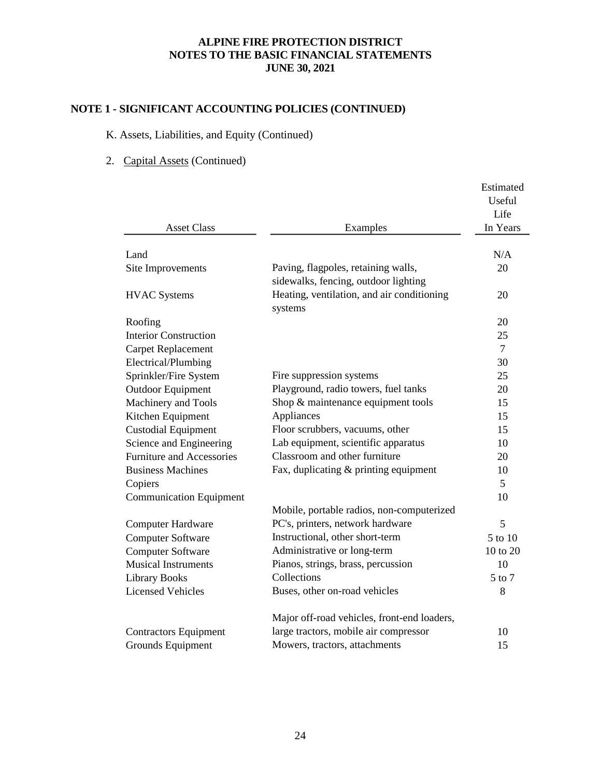# **NOTE 1 - SIGNIFICANT ACCOUNTING POLICIES (CONTINUED)**

# K. Assets, Liabilities, and Equity (Continued)

# 2. Capital Assets (Continued)

|                                  |                                                       | Estimated<br>Useful |
|----------------------------------|-------------------------------------------------------|---------------------|
|                                  |                                                       | Life                |
| <b>Asset Class</b>               | Examples                                              | In Years            |
| Land                             |                                                       | N/A                 |
| Site Improvements                | Paving, flagpoles, retaining walls,                   | 20                  |
|                                  | sidewalks, fencing, outdoor lighting                  |                     |
| <b>HVAC Systems</b>              | Heating, ventilation, and air conditioning<br>systems | 20                  |
| Roofing                          |                                                       | 20                  |
| <b>Interior Construction</b>     |                                                       | 25                  |
| <b>Carpet Replacement</b>        |                                                       | $\tau$              |
| Electrical/Plumbing              |                                                       | 30                  |
| Sprinkler/Fire System            | Fire suppression systems                              | 25                  |
| <b>Outdoor Equipment</b>         | Playground, radio towers, fuel tanks                  | 20                  |
| Machinery and Tools              | Shop & maintenance equipment tools                    | 15                  |
| Kitchen Equipment                | Appliances                                            | 15                  |
| <b>Custodial Equipment</b>       | Floor scrubbers, vacuums, other                       | 15                  |
| Science and Engineering          | Lab equipment, scientific apparatus                   | 10                  |
| <b>Furniture and Accessories</b> | Classroom and other furniture                         | 20                  |
| <b>Business Machines</b>         | Fax, duplicating & printing equipment                 | 10                  |
| Copiers                          |                                                       | 5                   |
| <b>Communication Equipment</b>   |                                                       | 10                  |
|                                  | Mobile, portable radios, non-computerized             |                     |
| <b>Computer Hardware</b>         | PC's, printers, network hardware                      | 5                   |
| <b>Computer Software</b>         | Instructional, other short-term                       | 5 to 10             |
| <b>Computer Software</b>         | Administrative or long-term                           | 10 to 20            |
| <b>Musical Instruments</b>       | Pianos, strings, brass, percussion                    | 10                  |
| <b>Library Books</b>             | Collections                                           | 5 to 7              |
| <b>Licensed Vehicles</b>         | Buses, other on-road vehicles                         | 8                   |
|                                  | Major off-road vehicles, front-end loaders,           |                     |
| <b>Contractors Equipment</b>     | large tractors, mobile air compressor                 | 10                  |
| Grounds Equipment                | Mowers, tractors, attachments                         | 15                  |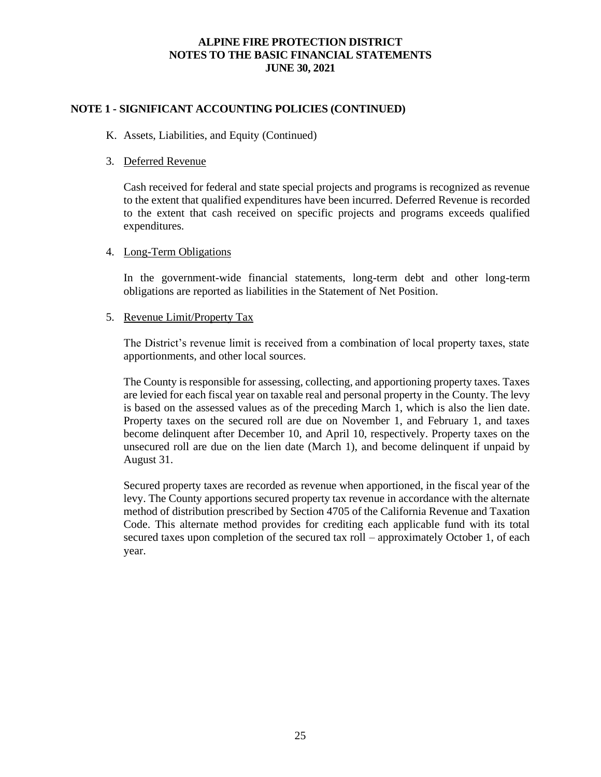# **NOTE 1 - SIGNIFICANT ACCOUNTING POLICIES (CONTINUED)**

#### K. Assets, Liabilities, and Equity (Continued)

#### 3. Deferred Revenue

Cash received for federal and state special projects and programs is recognized as revenue to the extent that qualified expenditures have been incurred. Deferred Revenue is recorded to the extent that cash received on specific projects and programs exceeds qualified expenditures.

#### 4. Long-Term Obligations

In the government-wide financial statements, long-term debt and other long-term obligations are reported as liabilities in the Statement of Net Position.

#### 5. Revenue Limit/Property Tax

The District's revenue limit is received from a combination of local property taxes, state apportionments, and other local sources.

The County is responsible for assessing, collecting, and apportioning property taxes. Taxes are levied for each fiscal year on taxable real and personal property in the County. The levy is based on the assessed values as of the preceding March 1, which is also the lien date. Property taxes on the secured roll are due on November 1, and February 1, and taxes become delinquent after December 10, and April 10, respectively. Property taxes on the unsecured roll are due on the lien date (March 1), and become delinquent if unpaid by August 31.

Secured property taxes are recorded as revenue when apportioned, in the fiscal year of the levy. The County apportions secured property tax revenue in accordance with the alternate method of distribution prescribed by Section 4705 of the California Revenue and Taxation Code. This alternate method provides for crediting each applicable fund with its total secured taxes upon completion of the secured tax roll – approximately October 1, of each year.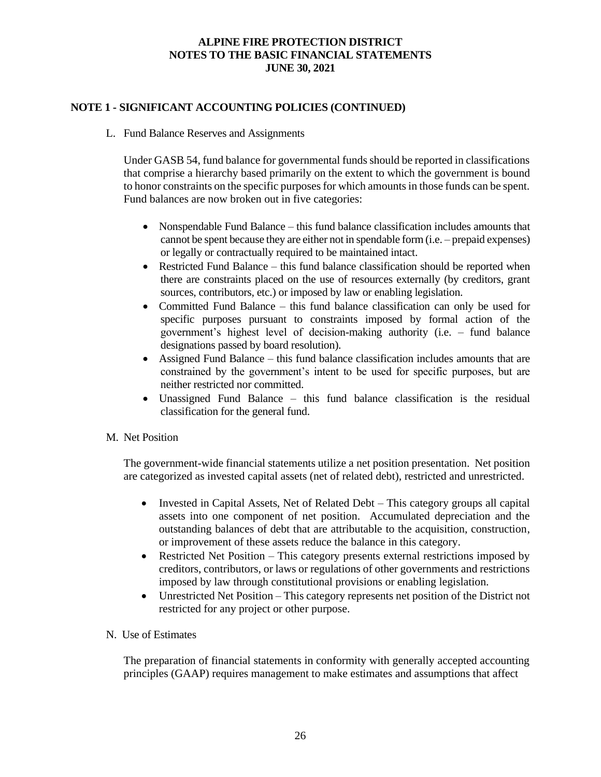# **NOTE 1 - SIGNIFICANT ACCOUNTING POLICIES (CONTINUED)**

L. Fund Balance Reserves and Assignments

Under GASB 54, fund balance for governmental funds should be reported in classifications that comprise a hierarchy based primarily on the extent to which the government is bound to honor constraints on the specific purposes for which amounts in those funds can be spent. Fund balances are now broken out in five categories:

- Nonspendable Fund Balance this fund balance classification includes amounts that cannot be spent because they are either not in spendable form (i.e. – prepaid expenses) or legally or contractually required to be maintained intact.
- Restricted Fund Balance this fund balance classification should be reported when there are constraints placed on the use of resources externally (by creditors, grant sources, contributors, etc.) or imposed by law or enabling legislation.
- Committed Fund Balance this fund balance classification can only be used for specific purposes pursuant to constraints imposed by formal action of the government's highest level of decision-making authority (i.e. – fund balance designations passed by board resolution).
- Assigned Fund Balance this fund balance classification includes amounts that are constrained by the government's intent to be used for specific purposes, but are neither restricted nor committed.
- Unassigned Fund Balance this fund balance classification is the residual classification for the general fund.
- M. Net Position

The government-wide financial statements utilize a net position presentation. Net position are categorized as invested capital assets (net of related debt), restricted and unrestricted.

- Invested in Capital Assets, Net of Related Debt This category groups all capital assets into one component of net position. Accumulated depreciation and the outstanding balances of debt that are attributable to the acquisition, construction, or improvement of these assets reduce the balance in this category.
- Restricted Net Position This category presents external restrictions imposed by creditors, contributors, or laws or regulations of other governments and restrictions imposed by law through constitutional provisions or enabling legislation.
- Unrestricted Net Position This category represents net position of the District not restricted for any project or other purpose.
- N. Use of Estimates

The preparation of financial statements in conformity with generally accepted accounting principles (GAAP) requires management to make estimates and assumptions that affect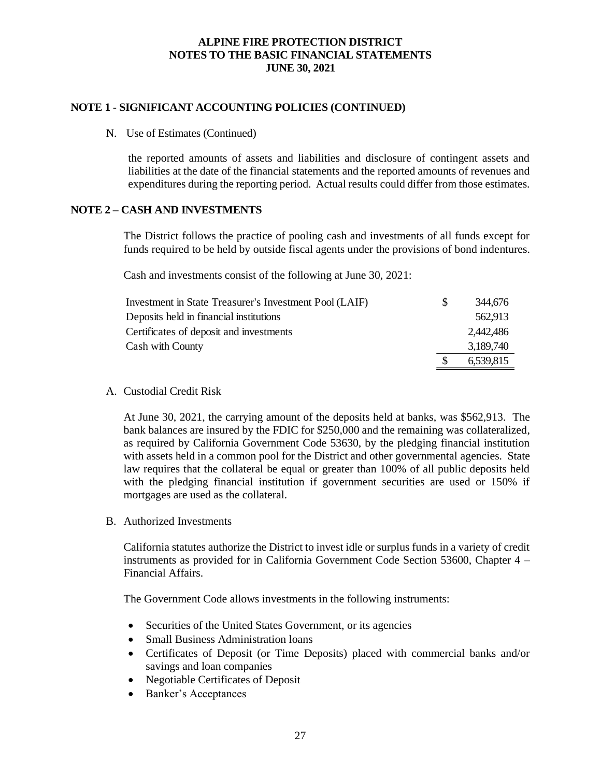### **NOTE 1 - SIGNIFICANT ACCOUNTING POLICIES (CONTINUED)**

N. Use of Estimates (Continued)

the reported amounts of assets and liabilities and disclosure of contingent assets and liabilities at the date of the financial statements and the reported amounts of revenues and expenditures during the reporting period. Actual results could differ from those estimates.

# **NOTE 2 – CASH AND INVESTMENTS**

The District follows the practice of pooling cash and investments of all funds except for funds required to be held by outside fiscal agents under the provisions of bond indentures.

Cash and investments consist of the following at June 30, 2021:

| Investment in State Treasurer's Investment Pool (LAIF) | S. | 344,676   |
|--------------------------------------------------------|----|-----------|
| Deposits held in financial institutions                |    | 562.913   |
| Certificates of deposit and investments                |    | 2.442.486 |
| Cash with County                                       |    | 3,189,740 |
|                                                        |    | 6,539,815 |

A. Custodial Credit Risk

At June 30, 2021, the carrying amount of the deposits held at banks, was \$562,913. The bank balances are insured by the FDIC for \$250,000 and the remaining was collateralized, as required by California Government Code 53630, by the pledging financial institution with assets held in a common pool for the District and other governmental agencies. State law requires that the collateral be equal or greater than 100% of all public deposits held with the pledging financial institution if government securities are used or 150% if mortgages are used as the collateral.

B. Authorized Investments

California statutes authorize the District to invest idle or surplus funds in a variety of credit instruments as provided for in California Government Code Section 53600, Chapter 4 – Financial Affairs.

The Government Code allows investments in the following instruments:

- Securities of the United States Government, or its agencies
- Small Business Administration loans
- Certificates of Deposit (or Time Deposits) placed with commercial banks and/or savings and loan companies
- Negotiable Certificates of Deposit
- Banker's Acceptances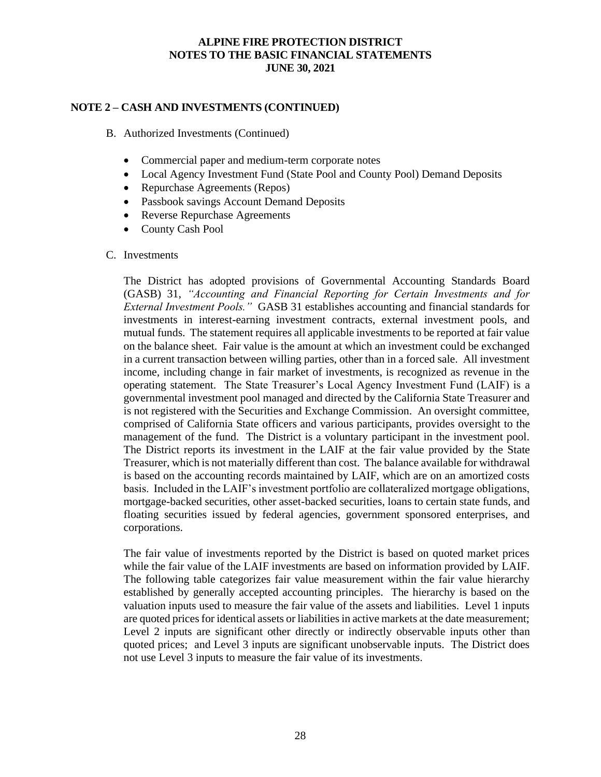### **NOTE 2 – CASH AND INVESTMENTS (CONTINUED)**

- B. Authorized Investments (Continued)
	- Commercial paper and medium-term corporate notes
	- Local Agency Investment Fund (State Pool and County Pool) Demand Deposits
	- Repurchase Agreements (Repos)
	- Passbook savings Account Demand Deposits
	- Reverse Repurchase Agreements
	- County Cash Pool

#### C. Investments

The District has adopted provisions of Governmental Accounting Standards Board (GASB) 31, *"Accounting and Financial Reporting for Certain Investments and for External Investment Pools."* GASB 31 establishes accounting and financial standards for investments in interest-earning investment contracts, external investment pools, and mutual funds. The statement requires all applicable investments to be reported at fair value on the balance sheet. Fair value is the amount at which an investment could be exchanged in a current transaction between willing parties, other than in a forced sale. All investment income, including change in fair market of investments, is recognized as revenue in the operating statement. The State Treasurer's Local Agency Investment Fund (LAIF) is a governmental investment pool managed and directed by the California State Treasurer and is not registered with the Securities and Exchange Commission. An oversight committee, comprised of California State officers and various participants, provides oversight to the management of the fund. The District is a voluntary participant in the investment pool. The District reports its investment in the LAIF at the fair value provided by the State Treasurer, which is not materially different than cost. The balance available for withdrawal is based on the accounting records maintained by LAIF, which are on an amortized costs basis. Included in the LAIF's investment portfolio are collateralized mortgage obligations, mortgage-backed securities, other asset-backed securities, loans to certain state funds, and floating securities issued by federal agencies, government sponsored enterprises, and corporations.

The fair value of investments reported by the District is based on quoted market prices while the fair value of the LAIF investments are based on information provided by LAIF. The following table categorizes fair value measurement within the fair value hierarchy established by generally accepted accounting principles. The hierarchy is based on the valuation inputs used to measure the fair value of the assets and liabilities. Level 1 inputs are quoted prices for identical assets or liabilities in active markets at the date measurement; Level 2 inputs are significant other directly or indirectly observable inputs other than quoted prices; and Level 3 inputs are significant unobservable inputs. The District does not use Level 3 inputs to measure the fair value of its investments.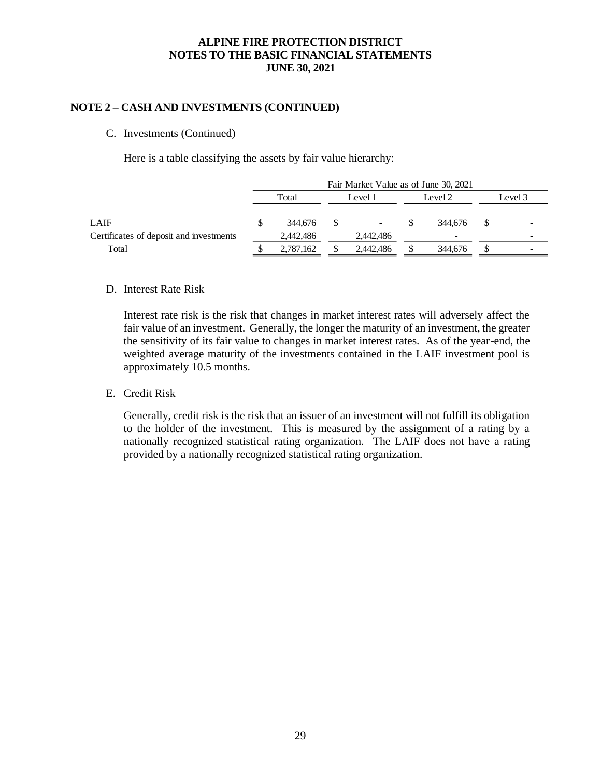#### **NOTE 2 – CASH AND INVESTMENTS (CONTINUED)**

C. Investments (Continued)

Here is a table classifying the assets by fair value hierarchy:

|                                         | Fair Market Value as of June 30, 2021 |           |   |                    |  |         |         |  |
|-----------------------------------------|---------------------------------------|-----------|---|--------------------|--|---------|---------|--|
|                                         | Total                                 |           |   | Level 2<br>Level 1 |  |         | Level 3 |  |
|                                         |                                       |           |   |                    |  |         |         |  |
| LAIF                                    | S.                                    | 344,676   | S | ۰.                 |  | 344.676 |         |  |
| Certificates of deposit and investments |                                       | 2,442,486 |   | 2,442,486          |  |         |         |  |
| Total                                   |                                       | 2,787,162 |   | 2,442,486          |  | 344,676 |         |  |

#### D. Interest Rate Risk

Interest rate risk is the risk that changes in market interest rates will adversely affect the fair value of an investment. Generally, the longer the maturity of an investment, the greater the sensitivity of its fair value to changes in market interest rates. As of the year-end, the weighted average maturity of the investments contained in the LAIF investment pool is approximately 10.5 months.

E. Credit Risk

Generally, credit risk is the risk that an issuer of an investment will not fulfill its obligation to the holder of the investment. This is measured by the assignment of a rating by a nationally recognized statistical rating organization. The LAIF does not have a rating provided by a nationally recognized statistical rating organization.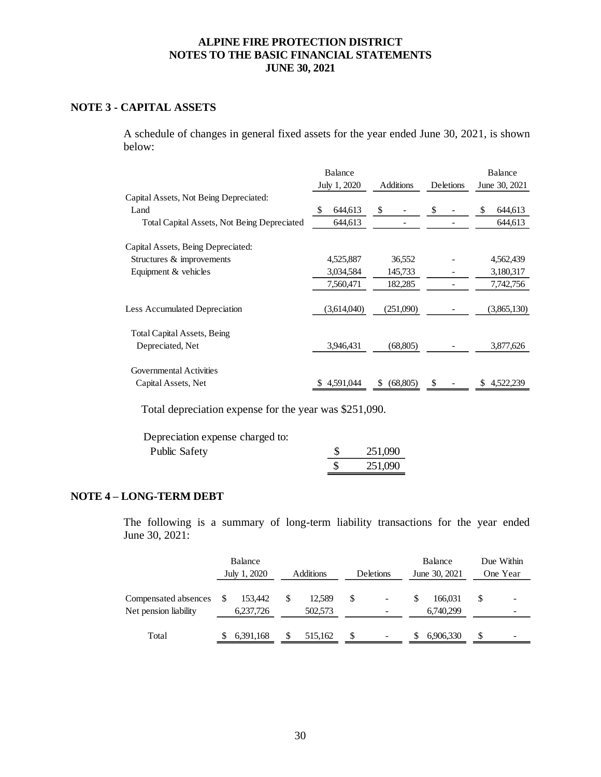# **NOTE 3 - CAPITAL ASSETS**

A schedule of changes in general fixed assets for the year ended June 30, 2021, is shown below:

|                                                    | <b>Balance</b><br>July 1, 2020 | <b>Additions</b> | Deletions | <b>Balance</b><br>June 30, 2021 |
|----------------------------------------------------|--------------------------------|------------------|-----------|---------------------------------|
| Capital Assets, Not Being Depreciated:             |                                |                  |           |                                 |
| Land                                               | \$<br>644,613                  | \$               | \$        | \$<br>644,613                   |
| <b>Total Capital Assets, Not Being Depreciated</b> | 644,613                        |                  |           | 644,613                         |
| Capital Assets, Being Depreciated:                 |                                |                  |           |                                 |
| Structures & improvements                          | 4,525,887                      | 36,552           |           | 4,562,439                       |
| Equipment & vehicles                               | 3,034,584                      | 145,733          |           | 3,180,317                       |
|                                                    | 7,560,471                      | 182,285          |           | 7,742,756                       |
| <b>Less Accumulated Depreciation</b>               | (3,614,040)                    | (251,090)        |           | (3,865,130)                     |
| <b>Total Capital Assets, Being</b>                 |                                |                  |           |                                 |
| Depreciated, Net                                   | 3,946,431                      | (68, 805)        |           | 3,877,626                       |
| Governmental Activities                            |                                |                  |           |                                 |
| Capital Assets, Net                                | 4,591,044                      | (68, 805)<br>\$  | S         | 4,522,239<br>S                  |

Total depreciation expense for the year was \$251,090.

Depreciation expense charged to:

| <b>Public Safety</b> | 251,090 |
|----------------------|---------|
|                      | 251,090 |

# **NOTE 4 – LONG-TERM DEBT**

The following is a summary of long-term liability transactions for the year ended June 30, 2021:

|                                               |   | Balance<br>July 1, 2020 |   | <b>Additions</b>  | Deletions | Balance<br>June 30, 2021 |    | Due Within<br>One Year |
|-----------------------------------------------|---|-------------------------|---|-------------------|-----------|--------------------------|----|------------------------|
| Compensated absences<br>Net pension liability | S | 153.442<br>6,237,726    | S | 12.589<br>502,573 | \$        | 166.031<br>6,740,299     | \$ |                        |
| Total                                         |   | 6,391,168               |   | 515,162           | \$        | 6,906,330                | S  |                        |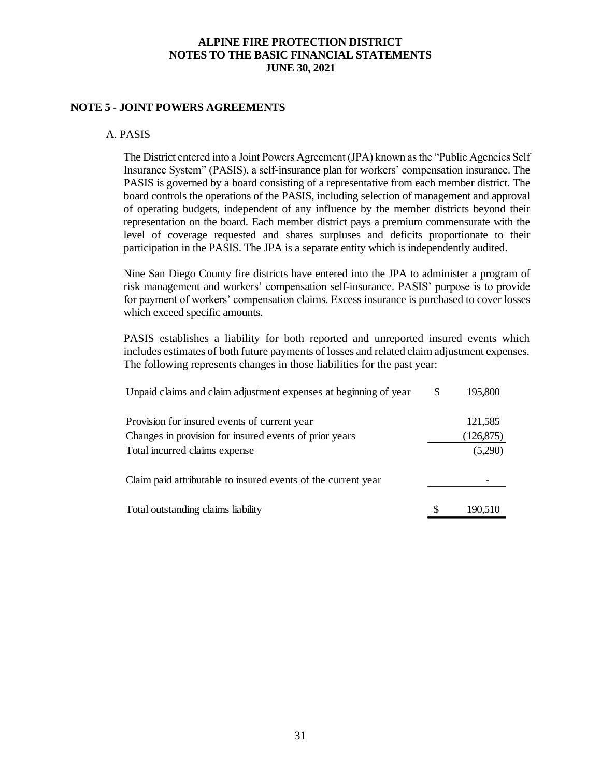### **NOTE 5 - JOINT POWERS AGREEMENTS**

#### A. PASIS

The District entered into a Joint Powers Agreement (JPA) known as the "Public Agencies Self Insurance System" (PASIS), a self-insurance plan for workers' compensation insurance. The PASIS is governed by a board consisting of a representative from each member district. The board controls the operations of the PASIS, including selection of management and approval of operating budgets, independent of any influence by the member districts beyond their representation on the board. Each member district pays a premium commensurate with the level of coverage requested and shares surpluses and deficits proportionate to their participation in the PASIS. The JPA is a separate entity which is independently audited.

Nine San Diego County fire districts have entered into the JPA to administer a program of risk management and workers' compensation self-insurance. PASIS' purpose is to provide for payment of workers' compensation claims. Excess insurance is purchased to cover losses which exceed specific amounts.

PASIS establishes a liability for both reported and unreported insured events which includes estimates of both future payments of losses and related claim adjustment expenses. The following represents changes in those liabilities for the past year:

| Unpaid claims and claim adjustment expenses at beginning of year | S | 195,800    |
|------------------------------------------------------------------|---|------------|
| Provision for insured events of current year                     |   | 121,585    |
| Changes in provision for insured events of prior years           |   | (126, 875) |
| Total incurred claims expense                                    |   | (5,290)    |
| Claim paid attributable to insured events of the current year    |   |            |
| Total outstanding claims liability                               |   | 190,510    |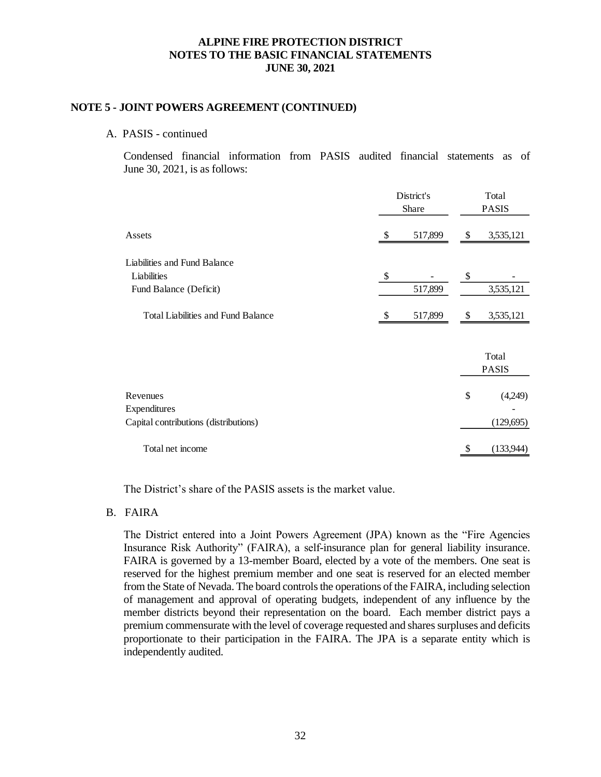#### **NOTE 5 - JOINT POWERS AGREEMENT (CONTINUED)**

#### A. PASIS - continued

Condensed financial information from PASIS audited financial statements as of June 30, 2021, is as follows:

|                                           | District's<br>Share | Total<br><b>PASIS</b> |    |              |
|-------------------------------------------|---------------------|-----------------------|----|--------------|
| Assets                                    | \$                  | 517,899               | \$ | 3,535,121    |
| Liabilities and Fund Balance              |                     |                       |    |              |
| Liabilities                               | $\$$                |                       | \$ |              |
| Fund Balance (Deficit)                    |                     | 517,899               |    | 3,535,121    |
| <b>Total Liabilities and Fund Balance</b> | \$                  | 517,899               | S  | 3,535,121    |
|                                           |                     |                       |    | Total        |
|                                           |                     |                       |    | <b>PASIS</b> |
| Revenues                                  |                     |                       | \$ | (4,249)      |
| Expenditures                              |                     |                       |    |              |
| Capital contributions (distributions)     |                     |                       |    | (129, 695)   |
| Total net income                          |                     |                       |    | (133,944)    |

The District's share of the PASIS assets is the market value.

#### B. FAIRA

The District entered into a Joint Powers Agreement (JPA) known as the "Fire Agencies Insurance Risk Authority" (FAIRA), a self-insurance plan for general liability insurance. FAIRA is governed by a 13-member Board, elected by a vote of the members. One seat is reserved for the highest premium member and one seat is reserved for an elected member from the State of Nevada. The board controls the operations of the FAIRA, including selection of management and approval of operating budgets, independent of any influence by the member districts beyond their representation on the board. Each member district pays a premium commensurate with the level of coverage requested and shares surpluses and deficits proportionate to their participation in the FAIRA. The JPA is a separate entity which is independently audited.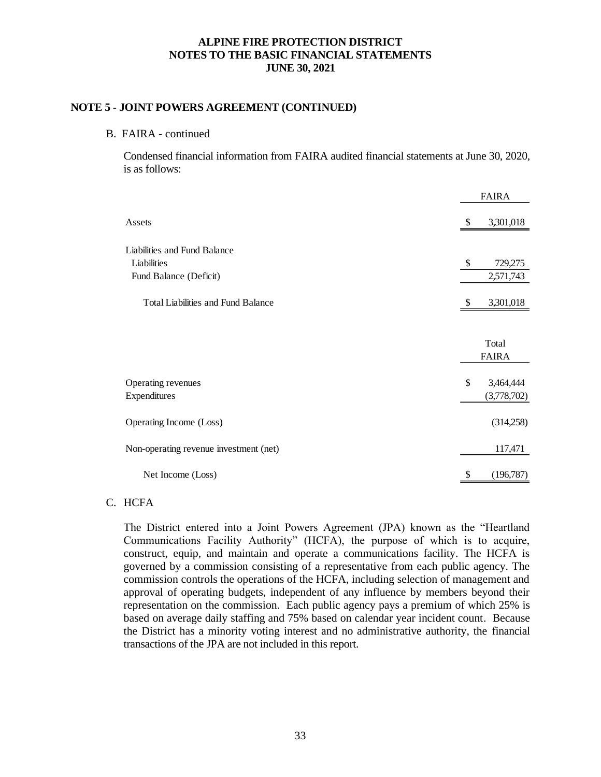#### **NOTE 5 - JOINT POWERS AGREEMENT (CONTINUED)**

#### B. FAIRA - continued

Condensed financial information from FAIRA audited financial statements at June 30, 2020, is as follows:

|                                           |    | <b>FAIRA</b> |
|-------------------------------------------|----|--------------|
| Assets                                    | \$ | 3,301,018    |
| Liabilities and Fund Balance              |    |              |
| Liabilities                               | \$ | 729,275      |
| Fund Balance (Deficit)                    |    | 2,571,743    |
| <b>Total Liabilities and Fund Balance</b> | -S | 3,301,018    |
|                                           |    |              |
|                                           |    | Total        |
|                                           |    | <b>FAIRA</b> |
| Operating revenues                        | \$ | 3,464,444    |
| Expenditures                              |    | (3,778,702)  |
| Operating Income (Loss)                   |    | (314,258)    |
| Non-operating revenue investment (net)    |    | 117,471      |
| Net Income (Loss)                         | \$ | (196,787)    |

# C. HCFA

The District entered into a Joint Powers Agreement (JPA) known as the "Heartland Communications Facility Authority" (HCFA), the purpose of which is to acquire, construct, equip, and maintain and operate a communications facility. The HCFA is governed by a commission consisting of a representative from each public agency. The commission controls the operations of the HCFA, including selection of management and approval of operating budgets, independent of any influence by members beyond their representation on the commission. Each public agency pays a premium of which 25% is based on average daily staffing and 75% based on calendar year incident count. Because the District has a minority voting interest and no administrative authority, the financial transactions of the JPA are not included in this report.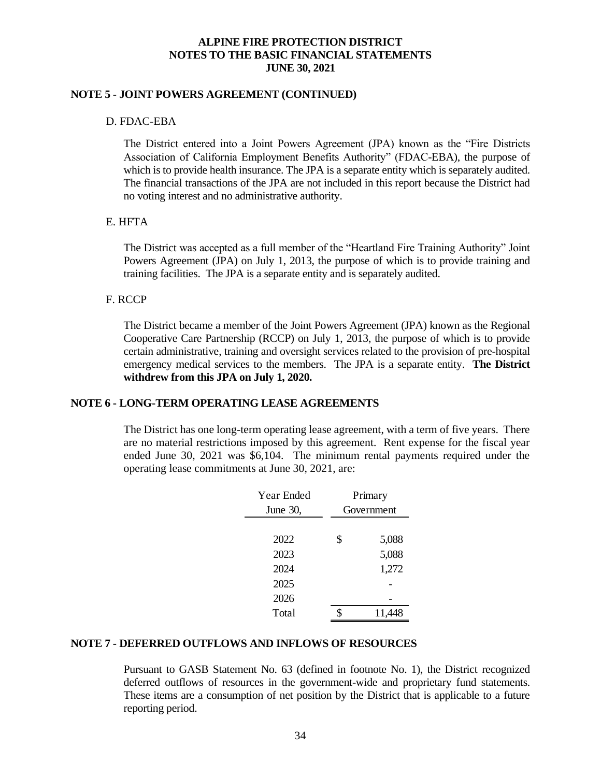#### **NOTE 5 - JOINT POWERS AGREEMENT (CONTINUED)**

## D. FDAC-EBA

The District entered into a Joint Powers Agreement (JPA) known as the "Fire Districts Association of California Employment Benefits Authority" (FDAC-EBA), the purpose of which is to provide health insurance. The JPA is a separate entity which is separately audited. The financial transactions of the JPA are not included in this report because the District had no voting interest and no administrative authority.

#### E. HFTA

The District was accepted as a full member of the "Heartland Fire Training Authority" Joint Powers Agreement (JPA) on July 1, 2013, the purpose of which is to provide training and training facilities. The JPA is a separate entity and is separately audited.

#### F. RCCP

The District became a member of the Joint Powers Agreement (JPA) known as the Regional Cooperative Care Partnership (RCCP) on July 1, 2013, the purpose of which is to provide certain administrative, training and oversight services related to the provision of pre-hospital emergency medical services to the members. The JPA is a separate entity. **The District withdrew from this JPA on July 1, 2020.**

#### **NOTE 6 - LONG-TERM OPERATING LEASE AGREEMENTS**

The District has one long-term operating lease agreement, with a term of five years. There are no material restrictions imposed by this agreement. Rent expense for the fiscal year ended June 30, 2021 was \$6,104. The minimum rental payments required under the operating lease commitments at June 30, 2021, are:

|                                                                                                                                                                                                                                             | Year Ended | Primary     |  |  |  |
|---------------------------------------------------------------------------------------------------------------------------------------------------------------------------------------------------------------------------------------------|------------|-------------|--|--|--|
|                                                                                                                                                                                                                                             | June 30,   | Government  |  |  |  |
|                                                                                                                                                                                                                                             |            |             |  |  |  |
|                                                                                                                                                                                                                                             | 2022       | \$<br>5,088 |  |  |  |
|                                                                                                                                                                                                                                             | 2023       | 5,088       |  |  |  |
|                                                                                                                                                                                                                                             | 2024       | 1,272       |  |  |  |
|                                                                                                                                                                                                                                             | 2025       |             |  |  |  |
|                                                                                                                                                                                                                                             | 2026       |             |  |  |  |
|                                                                                                                                                                                                                                             | Total      | 11,448      |  |  |  |
| DEFERRED OUTFLOWS AND INFLOWS OF RESOURCE<br>Pursuant to GASB Statement No. 63 (defined in footnote No.<br>deferred outflows of resources in the government-wide and p<br>These items are a consumption of net position by the District the |            |             |  |  |  |
| reporting period.                                                                                                                                                                                                                           |            |             |  |  |  |

# **NOTE 7 - DEFERRED OUTFLOWS AND INFLOWS OF RESOURCES**

Pursuant to GASB Statement No. 63 (defined in footnote No. 1), the District recognized deferred outflows of resources in the government-wide and proprietary fund statements. These items are a consumption of net position by the District that is applicable to a future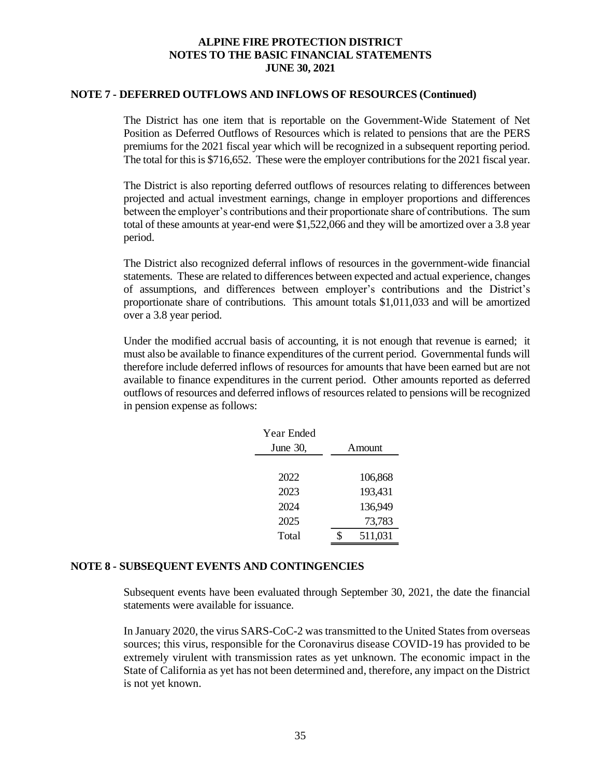#### **NOTE 7 - DEFERRED OUTFLOWS AND INFLOWS OF RESOURCES (Continued)**

The District has one item that is reportable on the Government-Wide Statement of Net Position as Deferred Outflows of Resources which is related to pensions that are the PERS premiums for the 2021 fiscal year which will be recognized in a subsequent reporting period. The total for this is \$716,652. These were the employer contributions for the 2021 fiscal year.

The District is also reporting deferred outflows of resources relating to differences between projected and actual investment earnings, change in employer proportions and differences between the employer's contributions and their proportionate share of contributions. The sum total of these amounts at year-end were \$1,522,066 and they will be amortized over a 3.8 year period.

The District also recognized deferral inflows of resources in the government-wide financial statements. These are related to differences between expected and actual experience, changes of assumptions, and differences between employer's contributions and the District's proportionate share of contributions. This amount totals \$1,011,033 and will be amortized over a 3.8 year period.

Under the modified accrual basis of accounting, it is not enough that revenue is earned; it must also be available to finance expenditures of the current period. Governmental funds will therefore include deferred inflows of resources for amounts that have been earned but are not available to finance expenditures in the current period. Other amounts reported as deferred outflows of resources and deferred inflows of resources related to pensions will be recognized in pension expense as follows:

| Year Ended |         |
|------------|---------|
| June 30,   | Amount  |
|            |         |
| 2022       | 106,868 |
| 2023       | 193,431 |
| 2024       | 136,949 |
| 2025       | 73,783  |
| Total      | 511,031 |

#### **NOTE 8 - SUBSEQUENT EVENTS AND CONTINGENCIES**

Subsequent events have been evaluated through September 30, 2021, the date the financial statements were available for issuance.

In January 2020, the virus SARS-CoC-2 was transmitted to the United States from overseas sources; this virus, responsible for the Coronavirus disease COVID-19 has provided to be extremely virulent with transmission rates as yet unknown. The economic impact in the State of California as yet has not been determined and, therefore, any impact on the District is not yet known.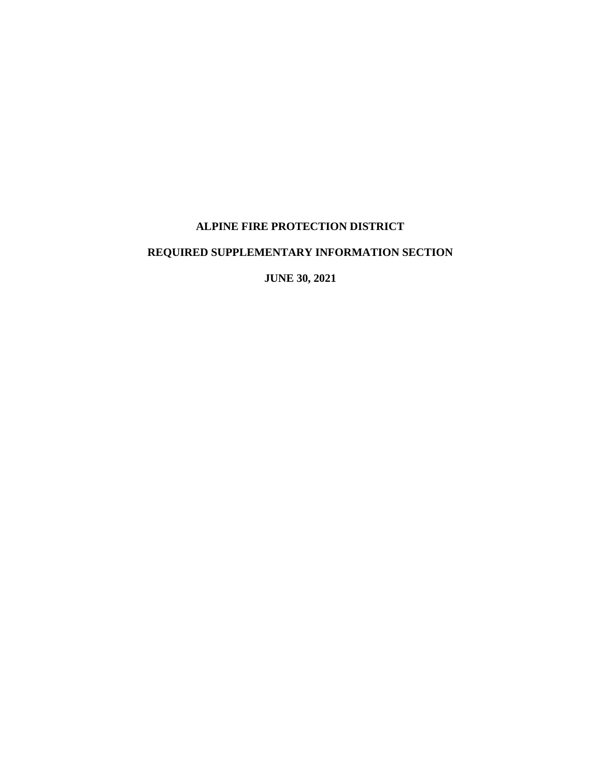# **ALPINE FIRE PROTECTION DISTRICT**

# **REQUIRED SUPPLEMENTARY INFORMATION SECTION**

**JUNE 30, 2021**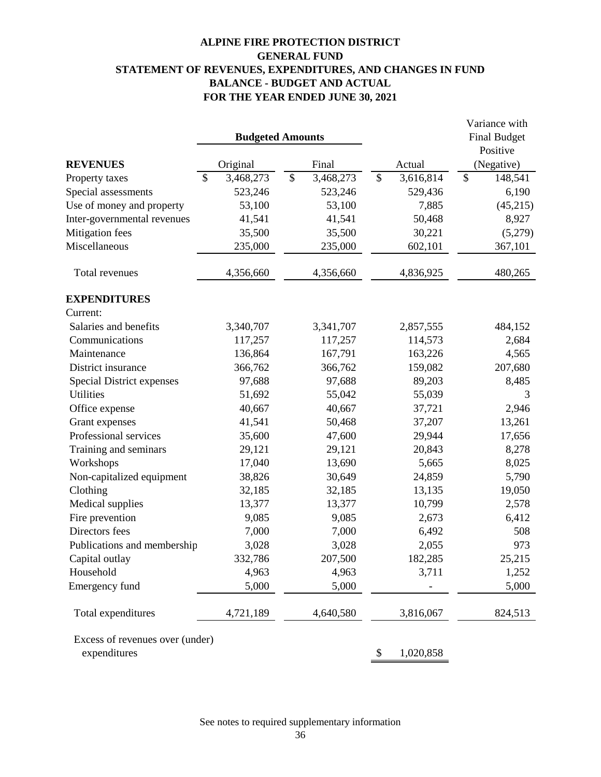# **ALPINE FIRE PROTECTION DISTRICT GENERAL FUND STATEMENT OF REVENUES, EXPENDITURES, AND CHANGES IN FUND BALANCE - BUDGET AND ACTUAL FOR THE YEAR ENDED JUNE 30, 2021**

|                                  |                            |                            |                            | Variance with                        |
|----------------------------------|----------------------------|----------------------------|----------------------------|--------------------------------------|
|                                  | <b>Budgeted Amounts</b>    |                            |                            | <b>Final Budget</b>                  |
|                                  |                            |                            |                            | Positive                             |
| <b>REVENUES</b>                  | Original                   | Final                      | Actual                     | (Negative)                           |
| Property taxes                   | $\mathcal{S}$<br>3,468,273 | $\mathcal{S}$<br>3,468,273 | $\mathcal{S}$<br>3,616,814 | $\boldsymbol{\mathsf{S}}$<br>148,541 |
| Special assessments              | 523,246                    | 523,246                    | 529,436                    | 6,190                                |
| Use of money and property        | 53,100                     | 53,100                     | 7,885                      | (45,215)                             |
| Inter-governmental revenues      | 41,541                     | 41,541                     | 50,468                     | 8,927                                |
| Mitigation fees                  | 35,500                     | 35,500                     | 30,221                     | (5,279)                              |
| Miscellaneous                    | 235,000                    | 235,000                    | 602,101                    | 367,101                              |
| Total revenues                   | 4,356,660                  | 4,356,660                  | 4,836,925                  | 480,265                              |
| <b>EXPENDITURES</b>              |                            |                            |                            |                                      |
| Current:                         |                            |                            |                            |                                      |
| Salaries and benefits            | 3,340,707                  | 3,341,707                  | 2,857,555                  | 484,152                              |
| Communications                   | 117,257                    | 117,257                    | 114,573                    | 2,684                                |
| Maintenance                      | 136,864                    | 167,791                    | 163,226                    | 4,565                                |
| District insurance               | 366,762                    | 366,762                    | 159,082                    | 207,680                              |
| <b>Special District expenses</b> | 97,688                     | 97,688                     | 89,203                     | 8,485                                |
| <b>Utilities</b>                 | 51,692                     | 55,042                     | 55,039                     | 3                                    |
| Office expense                   | 40,667                     | 40,667                     | 37,721                     | 2,946                                |
| Grant expenses                   | 41,541                     | 50,468                     | 37,207                     | 13,261                               |
| Professional services            | 35,600                     | 47,600                     | 29,944                     | 17,656                               |
| Training and seminars            | 29,121                     | 29,121                     | 20,843                     | 8,278                                |
| Workshops                        | 17,040                     | 13,690                     | 5,665                      | 8,025                                |
| Non-capitalized equipment        | 38,826                     | 30,649                     | 24,859                     | 5,790                                |
| Clothing                         | 32,185                     | 32,185                     | 13,135                     | 19,050                               |
| Medical supplies                 | 13,377                     | 13,377                     | 10,799                     | 2,578                                |
| Fire prevention                  | 9,085                      | 9,085                      | 2,673                      | 6,412                                |
| Directors fees                   | 7,000                      | 7,000                      | 6,492                      | 508                                  |
| Publications and membership      | 3,028                      | 3,028                      | 2,055                      | 973                                  |
| Capital outlay                   | 332,786                    | 207,500                    | 182,285                    | 25,215                               |
| Household                        | 4,963                      | 4,963                      | 3,711                      | 1,252                                |
| Emergency fund                   | 5,000                      | 5,000                      |                            | 5,000                                |
| Total expenditures               | 4,721,189                  | 4,640,580                  | 3,816,067                  | 824,513                              |
| Excess of revenues over (under)  |                            |                            |                            |                                      |
| expenditures                     |                            |                            | 1,020,858<br>\$            |                                      |

See notes to required supplementary information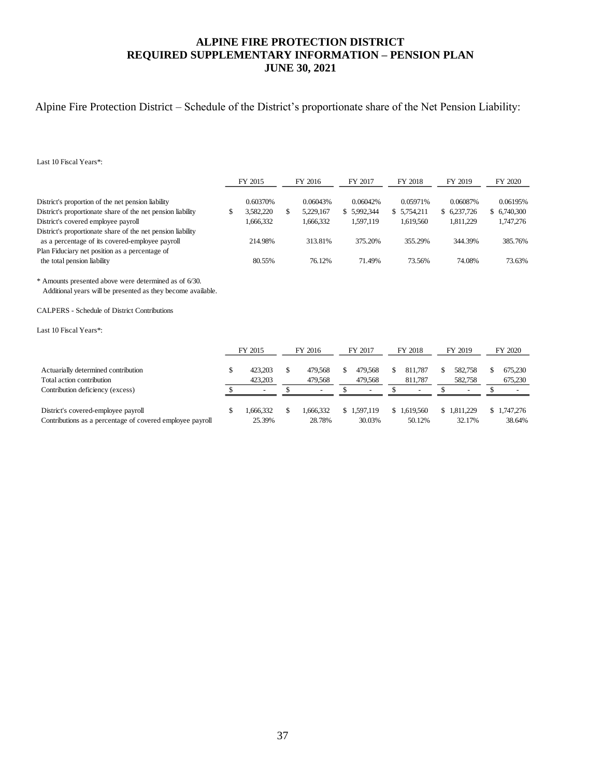# **ALPINE FIRE PROTECTION DISTRICT REQUIRED SUPPLEMENTARY INFORMATION – PENSION PLAN JUNE 30, 2021**

# Alpine Fire Protection District – Schedule of the District's proportionate share of the Net Pension Liability:

Last 10 Fiscal Years\*:

|                                                                                                                                                                                                                         |           | FY 2015                                        |          | FY 2016                            |         | FY 2017                                        |          | FY 2018                              |          | FY 2019                              |          | FY 2020                               |
|-------------------------------------------------------------------------------------------------------------------------------------------------------------------------------------------------------------------------|-----------|------------------------------------------------|----------|------------------------------------|---------|------------------------------------------------|----------|--------------------------------------|----------|--------------------------------------|----------|---------------------------------------|
| District's proportion of the net pension liability<br>District's proportionate share of the net pension liability<br>District's covered employee payroll<br>District's proportionate share of the net pension liability | \$        | 0.60370%<br>3,582,220<br>1,666,332             | \$       | 0.06043%<br>5,229,167<br>1,666,332 |         | 0.06042%<br>\$5,992,344<br>1,597,119           |          | 0.05971%<br>\$5,754,211<br>1,619,560 |          | 0.06087%<br>\$6,237,726<br>1,811,229 |          | 0.06195%<br>\$ 6,740,300<br>1,747,276 |
| as a percentage of its covered-employee payroll                                                                                                                                                                         |           | 214.98%                                        |          | 313.81%                            |         | 375.20%                                        |          | 355.29%                              |          | 344.39%                              |          | 385.76%                               |
| Plan Fiduciary net position as a percentage of                                                                                                                                                                          |           |                                                |          |                                    |         |                                                |          |                                      |          |                                      |          |                                       |
| the total pension liability                                                                                                                                                                                             |           | 80.55%                                         |          | 76.12%                             |         | 71.49%                                         |          | 73.56%                               |          | 74.08%                               |          | 73.63%                                |
| * Amounts presented above were determined as of 6/30.<br>Additional years will be presented as they become available.<br><b>CALPERS</b> - Schedule of District Contributions<br>Last 10 Fiscal Years*:                  |           |                                                |          |                                    |         |                                                |          |                                      |          |                                      |          |                                       |
|                                                                                                                                                                                                                         |           | FY 2015                                        |          | FY 2016                            |         | FY 2017                                        |          | FY 2018                              |          | FY 2019                              |          | FY 2020                               |
| Actuarially determined contribution<br>Total action contribution<br>Contribution deficiency (excess)                                                                                                                    | \$<br>\$. | 423,203<br>423,203<br>$\overline{\phantom{a}}$ | \$<br>\$ | 479.568<br>479,568                 | \$<br>S | 479,568<br>479,568<br>$\overline{\phantom{a}}$ | \$<br>\$ | 811.787<br>811,787                   | \$<br>\$ | 582,758<br>582,758                   | \$<br>\$ | 675,230<br>675,230                    |
| District's covered-employee payroll<br>Contributions as a percentage of covered employee payroll                                                                                                                        | \$        | 1,666,332<br>25.39%                            | \$       | 1,666,332<br>28.78%                |         | \$1,597,119<br>30.03%                          |          | \$1,619,560<br>50.12%                | S.       | 1,811,229<br>32.17%                  |          | 1,747,276<br>38.64%                   |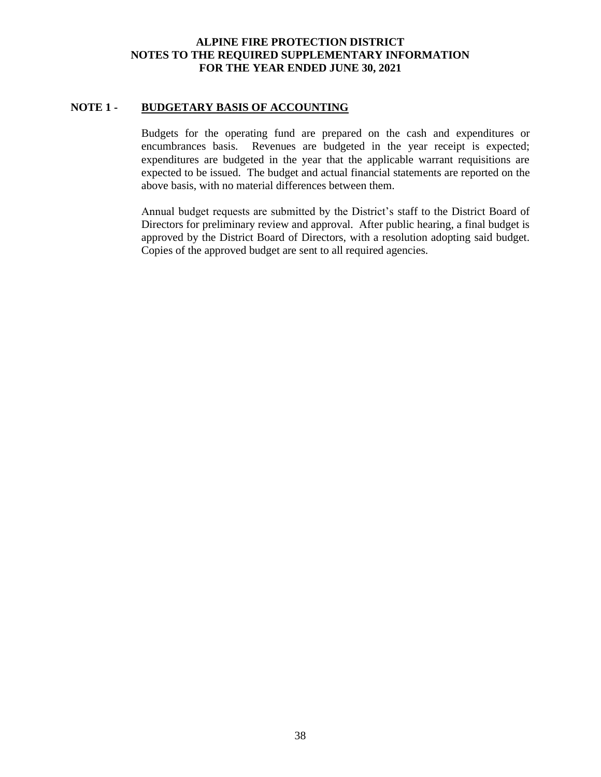## **ALPINE FIRE PROTECTION DISTRICT NOTES TO THE REQUIRED SUPPLEMENTARY INFORMATION FOR THE YEAR ENDED JUNE 30, 2021**

### **NOTE 1 - BUDGETARY BASIS OF ACCOUNTING**

Budgets for the operating fund are prepared on the cash and expenditures or encumbrances basis. Revenues are budgeted in the year receipt is expected; expenditures are budgeted in the year that the applicable warrant requisitions are expected to be issued. The budget and actual financial statements are reported on the above basis, with no material differences between them.

Annual budget requests are submitted by the District's staff to the District Board of Directors for preliminary review and approval. After public hearing, a final budget is approved by the District Board of Directors, with a resolution adopting said budget. Copies of the approved budget are sent to all required agencies.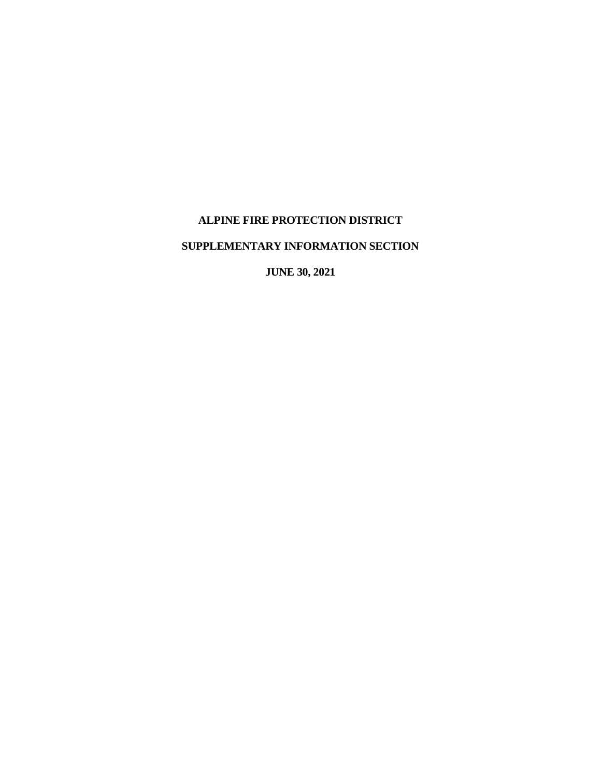# **ALPINE FIRE PROTECTION DISTRICT**

# **SUPPLEMENTARY INFORMATION SECTION**

**JUNE 30, 2021**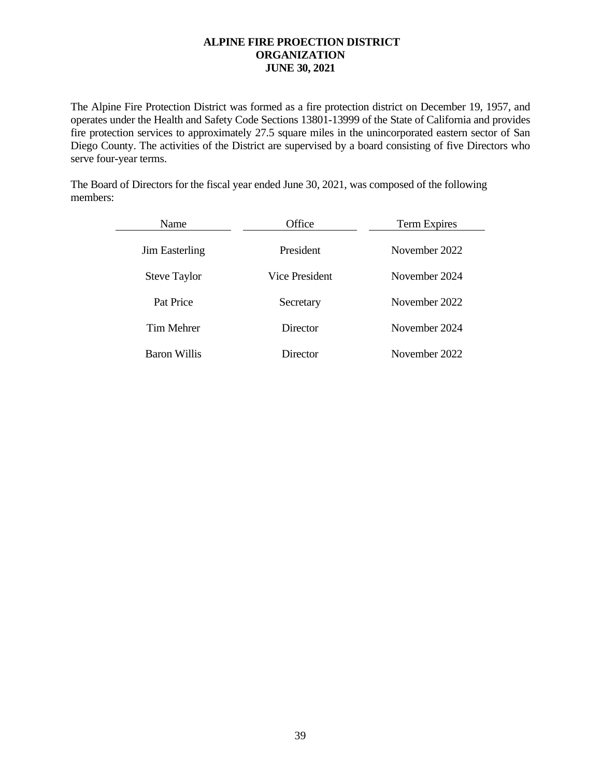# **ALPINE FIRE PROECTION DISTRICT ORGANIZATION JUNE 30, 2021**

The Alpine Fire Protection District was formed as a fire protection district on December 19, 1957, and operates under the Health and Safety Code Sections 13801-13999 of the State of California and provides fire protection services to approximately 27.5 square miles in the unincorporated eastern sector of San Diego County. The activities of the District are supervised by a board consisting of five Directors who serve four-year terms.

The Board of Directors for the fiscal year ended June 30, 2021, was composed of the following members:

| Name                | Office         | Term Expires  |
|---------------------|----------------|---------------|
| Jim Easterling      | President      | November 2022 |
| <b>Steve Taylor</b> | Vice President | November 2024 |
| Pat Price           | Secretary      | November 2022 |
| Tim Mehrer          | Director       | November 2024 |
| <b>Baron Willis</b> | Director       | November 2022 |